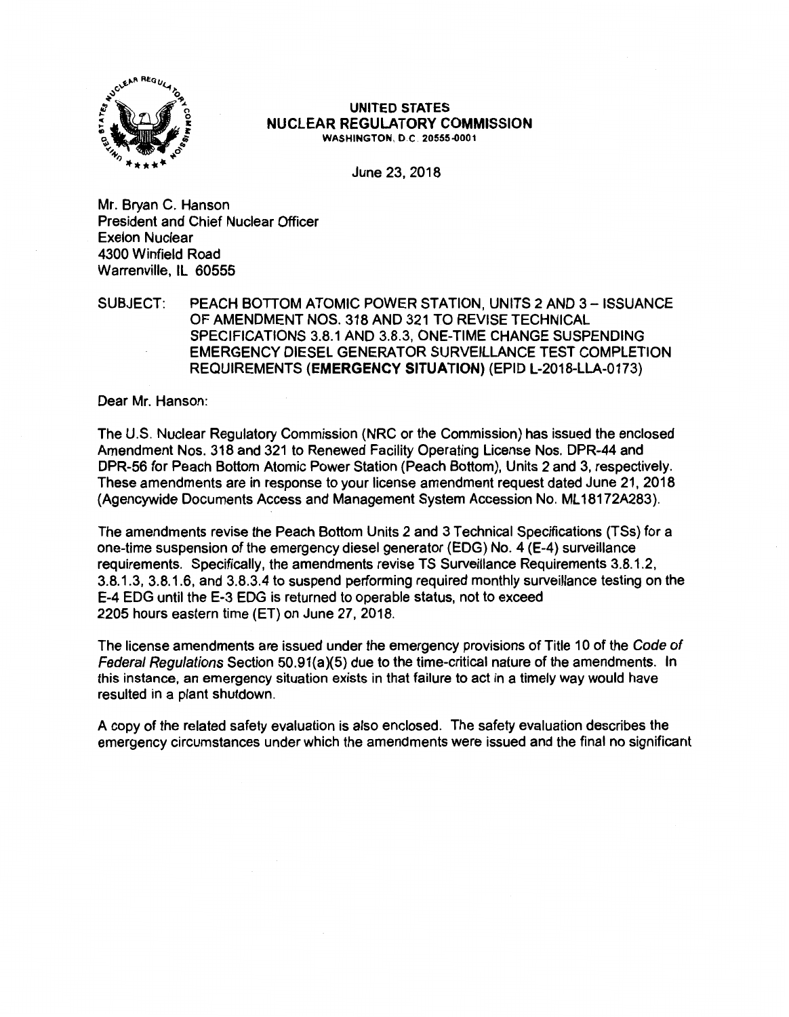

#### **UNITED STATES NUCLEAR REGULATORY COMMISSION WASHINGTON,** D.C. **20555-0001**

June 23, 2018

Mr. Bryan C. Hanson President and Chief Nuclear Officer Exelon Nuclear 4300 Winfield Road Warrenville, IL 60555

## SUBJECT: PEACH BOTTOM ATOMIC POWER STATION, UNITS 2 AND 3- ISSUANCE OF AMENDMENT NOS, 318 AND 321 TO REVISE TECHNICAL SPECIFICATIONS 3.8.1 AND 3.8.3, ONE-TIME CHANGE SUSPENDING EMERGENCY DIESEL GENERATOR SURVEILLANCE TEST COMPLETION REQUIREMENTS **(EMERGENCY SITUATION)** (EPID L-2018-LLA-0173)

Dear Mr. Hanson:

The U.S. Nuclear Regulatory Commission (NRC or the Commission) has issued the enclosed Amendment Nos. 318 and 321 to Renewed Facility Operating License Nos. DPR-44 and DPR-56 for Peach Bottom Atomic Power Station (Peach Bottom), Units 2 and 3, respectively. These amendments are in response to your license amendment request dated June 21, 2018 (Agencywide Documents Access and Management System Accession No. ML 18172A283).

The amendments revise the Peach Bottom Units 2 and 3 Technical Specifications (TSs) for a one-time suspension of the emergency diesel generator (EDG) No. 4 (E-4) surveillance requirements. Specifically, the amendments revise TS Surveillance Requirements 3.8.1.2, 3.8.1.3, 3.8.1.6, and 3.8.3.4 to suspend performing required monthly surveillance testing on the E-4 EDG until the E-3 EDG is returned to operable status, not to exceed 2205 hours eastern time (ET} on June 27, 2018.

The license amendments are issued under the emergency provisions of Title 10 of the Code of Federal Regulations Section 50.91(a)(5) due to the time-critical nature of the amendments. In this instance, an emergency situation exists in that failure to act in a timely way would have resulted in a plant shutdown.

A copy of the related safety evaluation is also enclosed. The safety evaluation describes the emergency circumstances under which the amendments were issued and the final no significant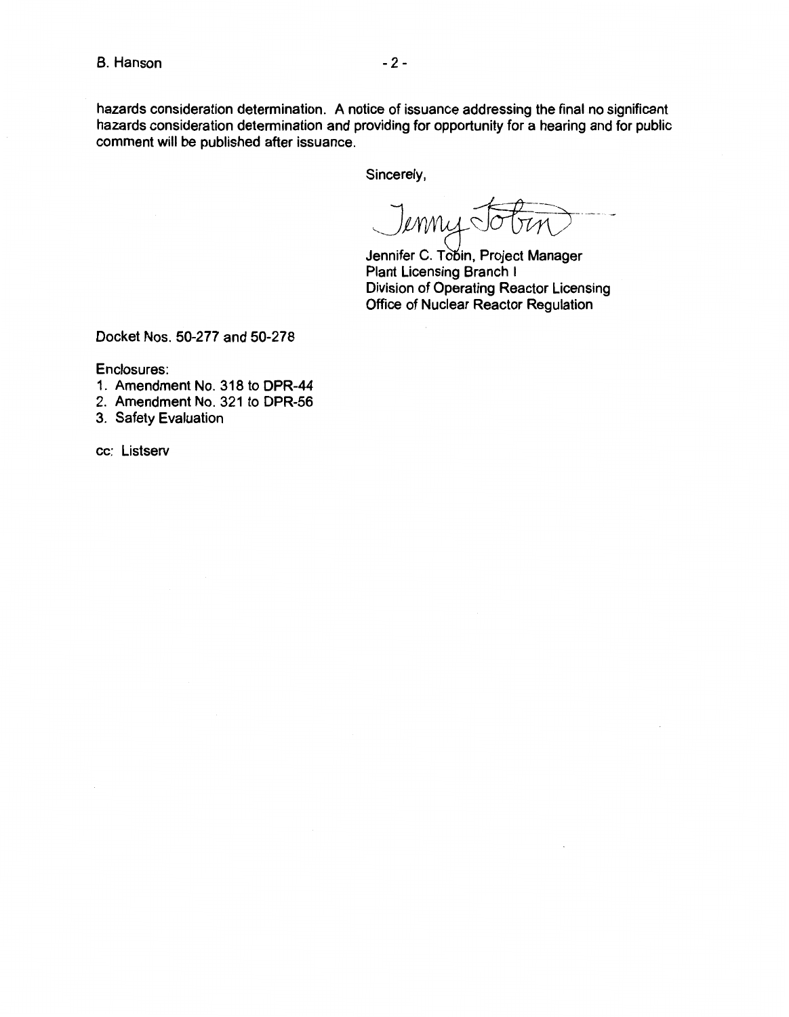hazards consideration determination. A notice of issuance addressing the final no significant hazards consideration determination and providing for opportunity for a hearing and for public comment will be published after issuance.

Sincerely,

.\_\_\_J, 1 *~CT!Jvrl)--* ~~~ ------ -

Jennifer C. Tobin, Project Manager Plant Licensing Branch I Division of Operating Reactor Licensing Office of Nuclear Reactor Regulation

Docket Nos. 50-277 and 50-278

Enclosures:

- 1. Amendment No. 318 to DPR-44
- 2. Amendment No. 321 to DPR-56
- 3. Safety Evaluation

cc: Listserv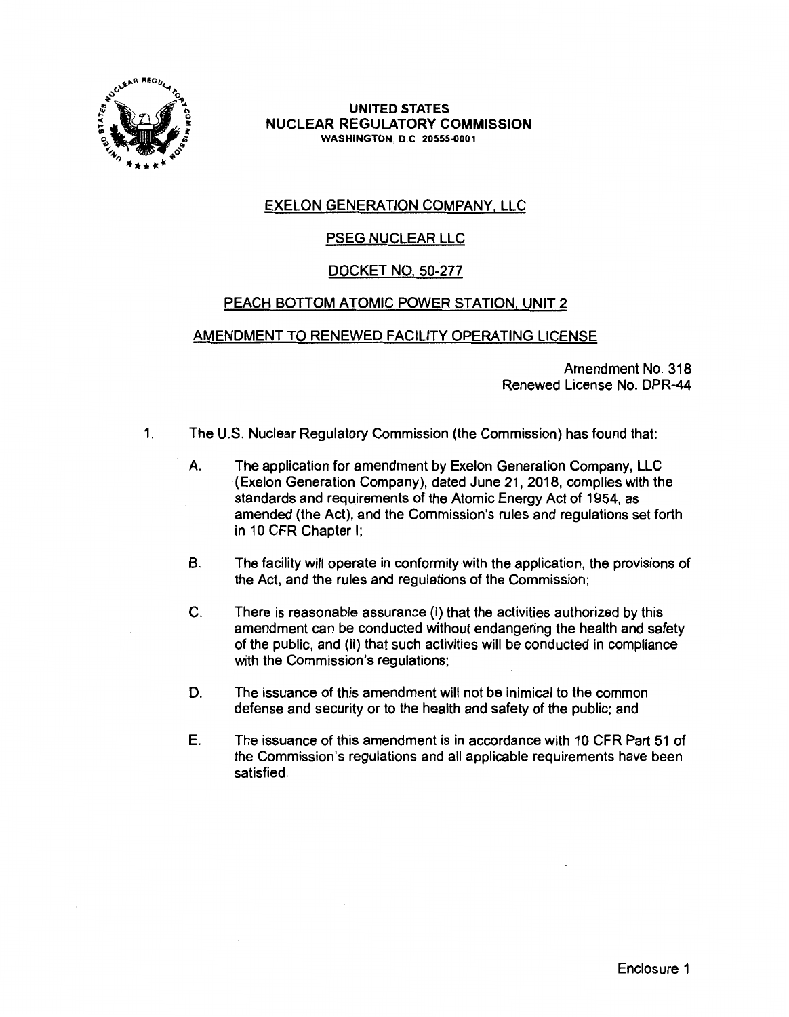

**UNITED STATES NUCLEAR REGULATORY COMMISSION WASHINGTON,** O.C **20555-0001** 

# EXELON GENERATION COMPANY, LLC

# PSEG NUCLEAR LLC

## DOCKET NO. 50-277

## PEACH BOTTOM ATOMIC POWER STATION, UNIT 2

## AMENDMENT TO RENEWED FACILITY OPERATING LICENSE

Amendment No. 318 Renewed License No. DPR-44

- 1. The U.S. Nuclear Regulatory Commission (the Commission) has found that:
	- A. The application for amendment by Exelon Generation Company, LLC (Exelon Generation Company), dated June 21, 2018, complies with the standards and requirements of the Atomic Energy Act of 1954, as amended (the Act), and the Commission's rules and regulations set forth in 10 CFR Chapter I;
	- B. The facility will operate in conformity with the application, the provisions of the Act, and the rules and regulations of the Commission;
	- C. There is reasonable assurance (i) that the activities authorized by this amendment can be conducted without endangering the health and safety of the public, and (ii) that such activities will be conducted in compliance with the Commission's regulations:
	- D. The issuance of this amendment will not be inimical to the common defense and security or to the health and safety of the public; and
	- E. The issuance of this amendment is in accordance with 10 CFR Part 51 of the Commission's regulations and all applicable requirements have been satisfied.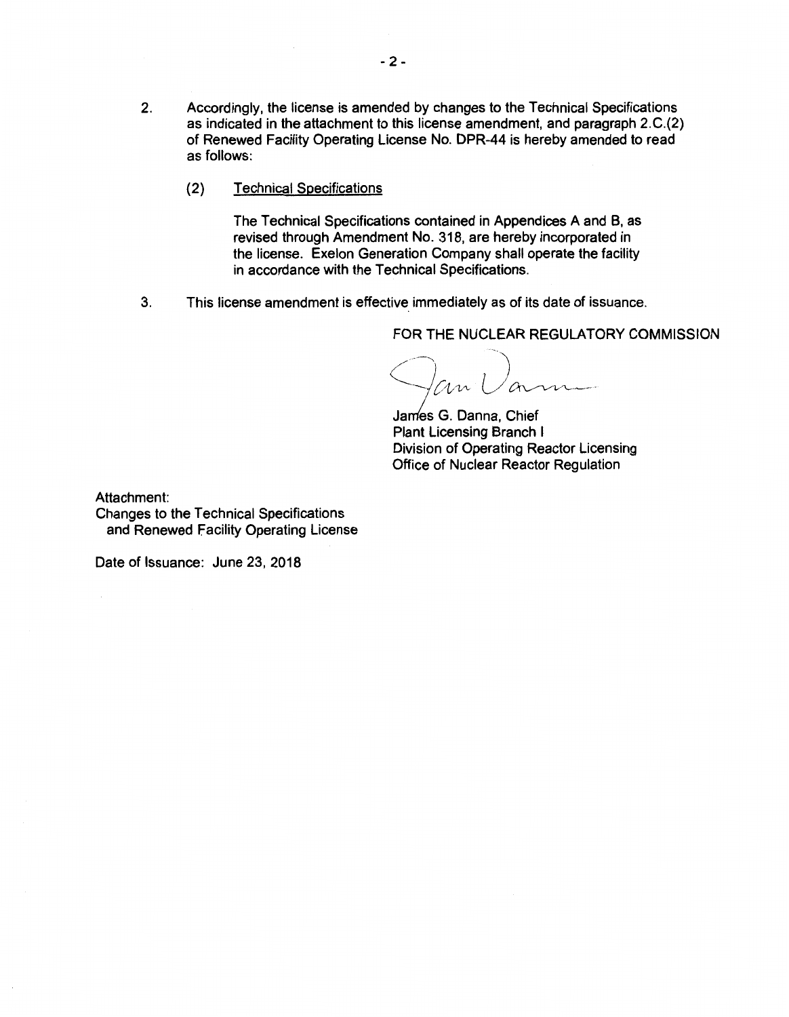- 2. Accordingly, the license is amended by changes to the Technical Specifications as indicated in the attachment to this license amendment, and paragraph 2.C.(2) of Renewed Facility Operating License No. DPR-44 is hereby amended to read as follows:
	- (2) Technical Specifications

The Technical Specifications contained in Appendices A and B, as revised through Amendment No. 318, are hereby incorporated in the license. Exelon Generation Company shall operate the facility in accordance with the Technical Specifications.

3. This license amendment is effective immediately as of its date of issuance.

FOR THE NUCLEAR REGULATORY COMMISSION

Fan Varm

James G. Danna, Chief Plant Licensing Branch I Division of Operating Reactor Licensing Office of Nuclear Reactor Regulation

Attachment:

Changes to the Technical Specifications and Renewed Facility Operating License

Date of Issuance: June 23, 2018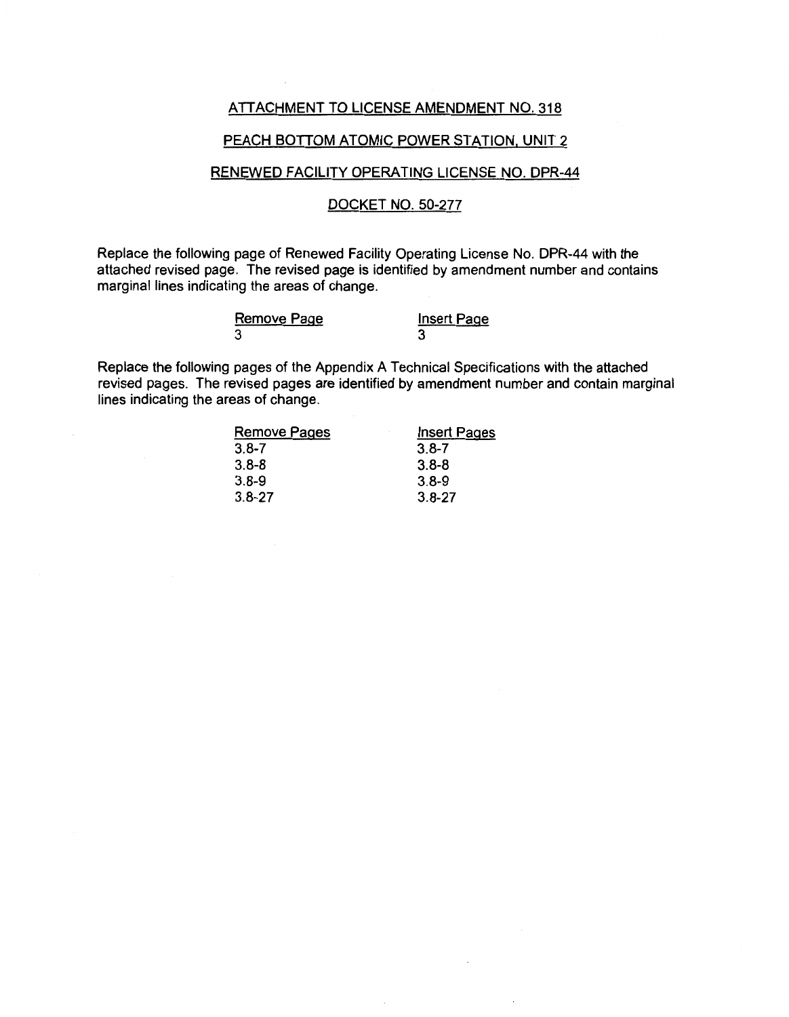### ATTACHMENT TO LICENSE AMENDMENT NO. 318

#### PEACH BOTTOM ATOMIC POWER STATION, UNIT 2

## RENEWED FACILITY OPERATING LICENSE NO. DPR-44

### DOCKET NO. 50-277

Replace the following page of Renewed Facility Operating License No. DPR-44 with the attached revised page. The revised page is identified by amendment number and contains marginal lines indicating the areas of change.

| Remove Page | <b>Insert Page</b> |
|-------------|--------------------|
| 3           |                    |

Replace the following pages of the Appendix A Technical Specifications with the attached revised pages. The revised pages are identified by amendment number and contain marginal lines indicating the areas of change.

| <b>Remove Pages</b> | <b>Insert Pages</b> |
|---------------------|---------------------|
| $3.8 - 7$           | $3.8 - 7$           |
| $3.8 - 8$           | $3.8 - 8$           |
| $3.8 - 9$           | $3.8 - 9$           |
| $3.8 - 27$          | $3.8 - 27$          |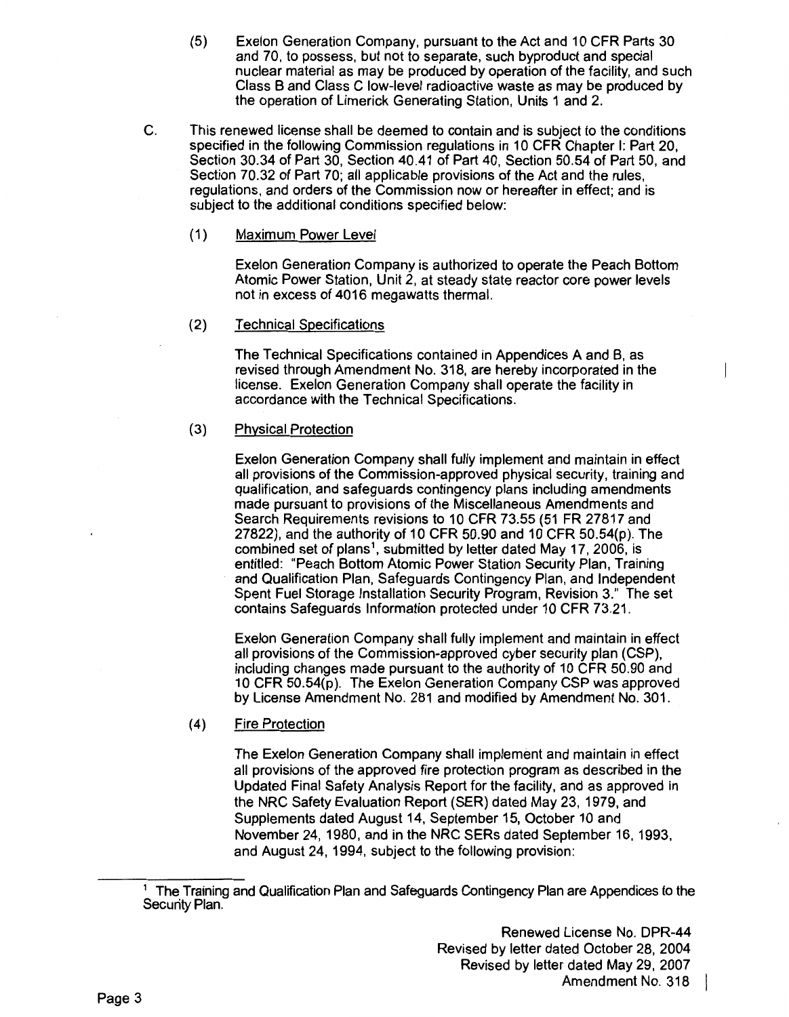- (5) Exelon Generation Company, pursuant to the Act and 10 CFR Parts 30 and 70, to possess, but not to separate, such byproduct and special nuclear material as may be produced by operation of the facility, and such Class B and Class C low-level radioactive waste as may be produced by the operation of Limerick Generating Station, Units 1 and 2.
- C. This renewed license shall be deemed to contain and is subject to the conditions specified in the following Commission regulations in 10 CFR Chapter I: Part 20, Section 30.34 of Part 30, Section 40.41 of Part 40, Section 50.54 of Part 50, and Section 70.32 of Part 70; all applicable provisions of the Act and the rules, regulations, and orders of the Commission now or hereafter in effect; and is subject to the additional conditions specified below:
	- (1) Maximum Power Level

Exelon Generation Company is authorized to operate the Peach Bottom Atomic Power Station, Unit 2, at steady state reactor core power levels not in excess of 4016 megawatts thermal.

(2) Technical Specifications

The Technical Specifications contained in Appendices A and B, as revised through Amendment No. 318, are hereby incorporated in the license. Exelon Generation Company shall operate the facility in accordance with the Technical Specifications.

(3) Physical Protection

> Exelon Generation Company shall fully implement and maintain in effect all provisions of the Commission-approved physical security, training and qualification, and safeguards contingency plans including amendments made pursuant to provisions of the Miscellaneous Amendments and Search Requirements revisions to 10 CFR 73.55 (51 FR 27817 and 27822), and the authority of 10 CFR 50.90 and 10 CFR 50.54(p). The combined set of plans<sup>1</sup>, submitted by letter dated May 17, 2006, is entitled: "Peach Bottom Atomic Power Station Security Plan, Training and Qualification Plan. Safeguards Contingency Plan, and Independent Spent Fuel Storage Installation Security Program, Revision 3." The set contains Safeguards Information protected under 10 CFR 73.21.

> Exelon Generation Company shall fully implement and maintain in effect all provisions of the Commission-approved cyber security plan (CSP). including changes made pursuant to the authority of 10 CFR 50.90 and 10 CFR 50.54(p). The Exelon Generation Company CSP was approved by License Amendment No. 281 and modified by Amendment No. 301.

(4) Fire Protection

The Exelon Generation Company shall implement and maintain in effect all provisions of the approved fire protection program as described in the Updated Final Safety Analysis Report for the facility, and as approved in the NRC Safety Evaluation Report (SER) dated May 23, 1979, and Supplements dated August 14, September 15, October 10 and November 24, 1980, and in the NRC SERs dated September 16, 1993, and August 24, 1994, subject to the following provision:

<sup>&</sup>lt;sup>1</sup> The Training and Qualification Plan and Safeguards Contingency Plan are Appendices to the Security Plan.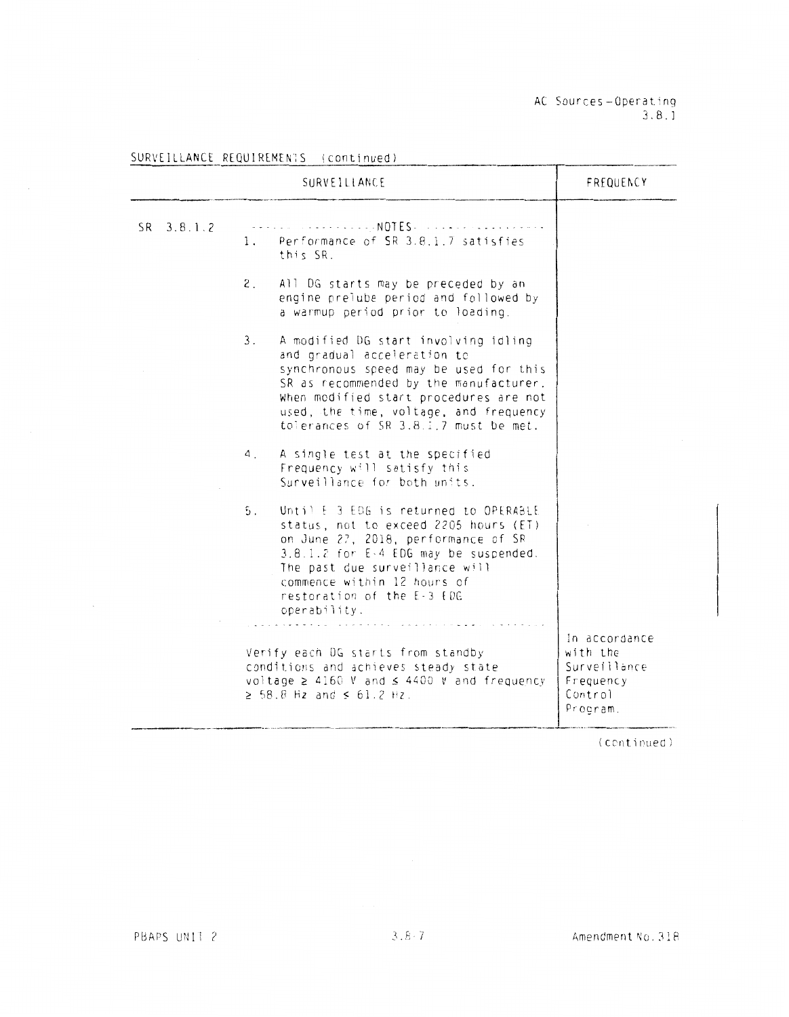AC Sources-Operat'nq 3. 8. l

|            | <b>SURVEILLANCE</b>                                                                                                                                                                                                                                                                        | FREQUENCY                                                                     |
|------------|--------------------------------------------------------------------------------------------------------------------------------------------------------------------------------------------------------------------------------------------------------------------------------------------|-------------------------------------------------------------------------------|
| SR 3.8.1.2 | - - - - - - - - - - - - - - NOTES - - - - - - - -<br>1. Performance of SR 3.8.1.7 satisfies<br>this SR.                                                                                                                                                                                    |                                                                               |
|            | 2.<br>All DG starts may be preceded by an<br>engine prelube period and followed by<br>a warmup period prior to loading.                                                                                                                                                                    |                                                                               |
|            | 3.<br>A modified DG start involving idling<br>and gradual acceleration to<br>synchronous speed may be used for this<br>SR as recommended by the manufacturer.<br>When modified start procedures are not<br>used, the time, voltage, and frequency<br>tolerances of SR 3.8.1.7 must be met. |                                                                               |
|            | A single test at the specified<br>4.<br>Frequency will satisfy this<br>Surveillance for both units.                                                                                                                                                                                        |                                                                               |
|            | 5.<br>Until E 3 EDG is returned to OPERABLE<br>status, not to exceed 2205 hours (ET)<br>on June 27, 2018, performance of SR<br>3.8.1.2 for E-4 EDG may be suspended.<br>The past due surveillance will<br>commence within 12 hours of<br>restoration of the E-3 EDG<br>operability.        |                                                                               |
|            | Verify each OG starts from standby<br>conditions and achieves steady state<br>voltage $\geq$ 4160 V and $\leq$ 4400 V and frequency<br>$\geq 58.8$ Hz and $\leq 61.2$ Hz.                                                                                                                  | In accordance<br>with the<br>Surveillance<br>Frequency<br>Control<br>Procram. |

## SURVEILLANCE REQUIREMEN1S (continued)

(continued)

 $\mathbb{R}^2$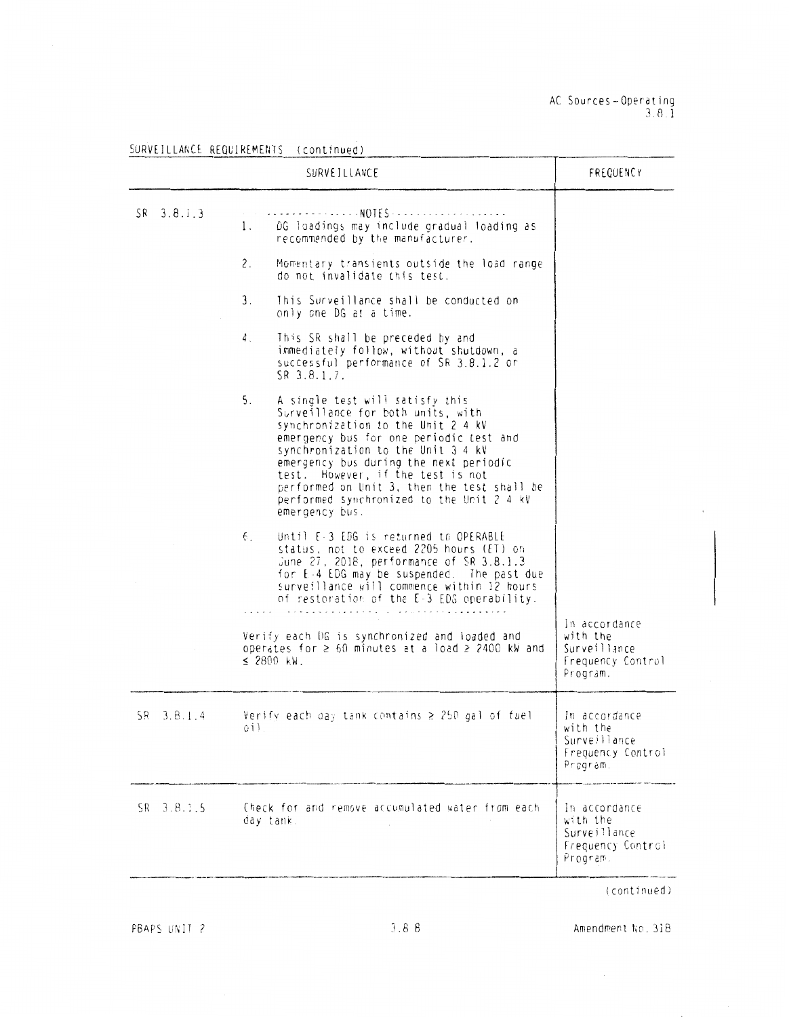|                | SURVEILLANCE                                                                                                                                                                                                                                                                                                                                                                                   | FREQUENCY                                                                  |
|----------------|------------------------------------------------------------------------------------------------------------------------------------------------------------------------------------------------------------------------------------------------------------------------------------------------------------------------------------------------------------------------------------------------|----------------------------------------------------------------------------|
| $SR = 3.8.1.3$ | . NOTES<br>DG loadings may include gradual loading as<br>1.<br>recommended by the manufacturer.                                                                                                                                                                                                                                                                                                |                                                                            |
|                | 2.<br>Momentary transients outside the load range<br>do not invalidate this test.                                                                                                                                                                                                                                                                                                              |                                                                            |
|                | This Surveillance shall be conducted on<br>3.<br>only one DG at a time.                                                                                                                                                                                                                                                                                                                        |                                                                            |
|                | This SR shall be preceded by and<br>4.<br>immediately follow, without shutdown, a<br>successful performance of SR 3.8.1.2 or<br>$SR$ 3.8.1.7.                                                                                                                                                                                                                                                  |                                                                            |
|                | 5.<br>A single test will satisfy this<br>Surveillance for both units, with<br>synchronization to the Unit 2 4 kV<br>emergency bus for one periodic test and<br>synchronization to the Unit 3 4 kV<br>emergency bus during the next periodic<br>test. However, if the test is not<br>performed on Unit 3, then the test shall be<br>performed synchronized to the Unit 2 4 kV<br>emergency bus. |                                                                            |
|                | б.<br>Until E-3 EDG is returned to OPERABLE<br>status, not to exceed 2205 hours (ET) on<br>June 27, 2018, performance of SR 3.8.1.3<br>for E-4 EDG may be suspended. The past due<br>surveillance will commence within 12 hours<br>of restoration of the E-3 EDG operability.                                                                                                                  |                                                                            |
|                | Verify each DG is synchronized and loaded and<br>operates for $\geq 60$ minutes at a load $\geq 2400$ kW and<br>$\leq$ 2800 kW.                                                                                                                                                                                                                                                                | in accordance<br>with the<br>Surveillance<br>Frequency Control<br>Program. |
| $SR = 3.8.1.4$ | Verify each day tank contains $\geq 250$ gal of fuel<br>oil.                                                                                                                                                                                                                                                                                                                                   | In accordance<br>with the<br>Surveillance<br>Frequency Control<br>Program. |
| $SR = 3.B.1.5$ | Check for and remove accumulated water from each<br>day tank.                                                                                                                                                                                                                                                                                                                                  | In accordance<br>with the<br>Surveillance<br>Frequency Control<br>Program. |

SURVEILLANCE REQUIREMENTS (continued)

PBAPS UNIT 2

Amendment No. 318

 $\bar{\beta}$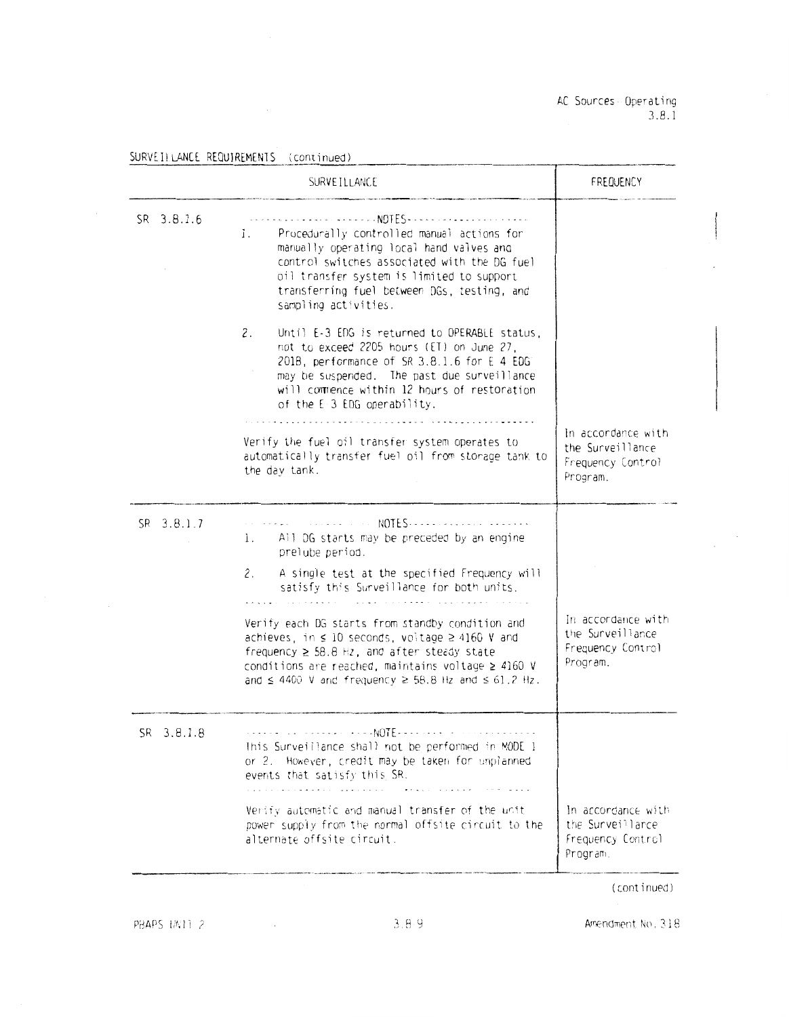AC Sources - Operating  $3.8.1$ 

|            | SURVEILLANCE                                                                                                                                                                                                                                                                                       | FREQUENCY                                                               |
|------------|----------------------------------------------------------------------------------------------------------------------------------------------------------------------------------------------------------------------------------------------------------------------------------------------------|-------------------------------------------------------------------------|
| SR 3.8.1.6 | Procedurally controlled manual actions for<br>1.<br>manually operating local hand valves and<br>control switches associated with the DG fuel<br>oil transfer system is limited to support<br>transferring fuel between DGs, testing, and<br>sampling activities.                                   |                                                                         |
|            | 2.<br>Until E-3 EDG is returned to OPERABLE status,<br>not to exceed 2205 hours (ET) on June 27,<br>2018, performance of SR 3.8.1.6 for E 4 EDG<br>may be suspended. The past due surveillance<br>will commence within 12 hours of restoration<br>of the E-3 EDG operability.                      |                                                                         |
|            | Verify the fuel oil transfer system operates to<br>automatically transfer fuel oil from storage tank to<br>the day tank.                                                                                                                                                                           | In accordance with<br>the Surveillance<br>Frequency Control<br>Program. |
| SR 3.8.1.7 | All DG starts may be preceded by an engine<br>ì.<br>prelube period.                                                                                                                                                                                                                                |                                                                         |
|            | 2.<br>A single test at the specified Frequency will<br>satisfy this Surveillance for both units.                                                                                                                                                                                                   |                                                                         |
|            | Verify each DG starts from standby condition and<br>achieves, in $\leq 10$ seconds, voltage $\geq 4160$ V and<br>frequency $\geq$ 58.8 Hz, and after steady state<br>conditions are reached, maintains voltage $\geq$ 4160 V<br>and $\leq 4400$ V and frequency $\geq 58.8$ Hz and $\leq 61.2$ Hz. | In accordance with<br>the Surveillance<br>Frequency Control<br>Program. |
| SR 3.8.1.8 | This Surveillance shall not be performed in MODE 1<br>or 2. However, credit may be taken for unplanned<br>events that satisfy this SR.                                                                                                                                                             |                                                                         |
|            | Verify automatic and manual transfer of the unit<br>power supply from the normal offsite circuit to the<br>alternate offsite circuit.                                                                                                                                                              | In accordance with<br>the Surveillance<br>Frequency Control<br>Program. |

(continued)

PBAPS UNIT 2

 $\mathcal{L}_{\mathcal{A}}$ 

SURVEILLANCE REQUIREMENTS (continued)

Amendment No. 318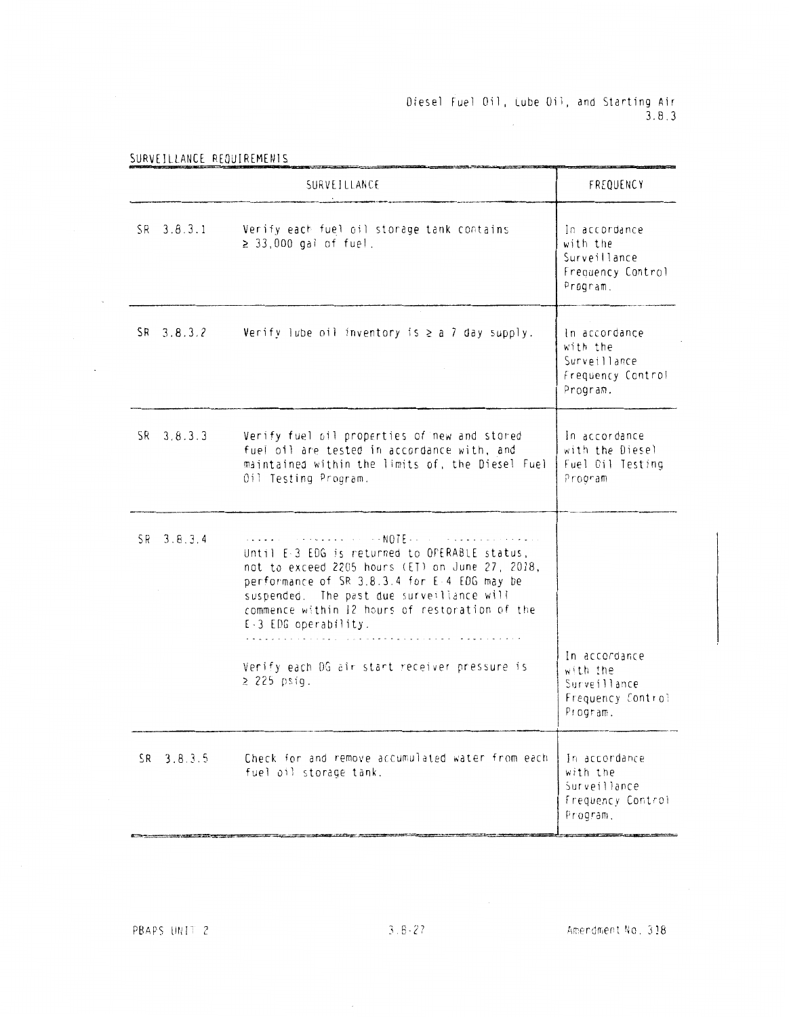# Diesel Fuel Oil, Lube Oil, and Starting Air<br>3.8.3

SURVEILLANCE REQUIREMENTS

 $\sim$   $\sim$ 

 $\sim$ 

|                | SURVETLLANCE                                                                                                                                                                                                                                                            | FREQUENCY                                                                  |
|----------------|-------------------------------------------------------------------------------------------------------------------------------------------------------------------------------------------------------------------------------------------------------------------------|----------------------------------------------------------------------------|
| SR.<br>3.8.3.1 | Verify each fuel oil storage tank contains<br>$\geq$ 33,000 gal of fuel.                                                                                                                                                                                                | In accordance<br>with the<br>Surveillance<br>Frequency Control<br>Program. |
| SR 3.8.3.2     | Verify lube oil inventory is $\ge$ a 7 day supply.                                                                                                                                                                                                                      | In accordance<br>with the<br>Surveillance<br>Frequency Control<br>Program. |
| $SR = 3.8.3.3$ | Verify fuel oil properties of new and stored<br>fuel oil are tested in accordance with, and<br>maintained within the limits of, the Diesel Fuel<br>Oil Testing Program.                                                                                                 | In accordance<br>with the Diesel<br>Fuel Oil Testing<br>Program            |
| SR 3.8.3.4     | Until E-3 EDG is returned to OPERABLE status,<br>not to exceed 2205 hours (ET) on June 27, 2018,<br>performance of SR 3.8.3.4 for E-4 EDG may be<br>suspended. The past due surveillance will<br>commence within 12 hours of restoration of the<br>E-3 EDG operability. |                                                                            |
|                | Verify each OG air start receiver pressure is<br>$\geq$ 225 psig.                                                                                                                                                                                                       | In accordance<br>with the<br>Surveillance<br>Frequency Control<br>Program. |
| $SR = 3.8.3.5$ | Check for and remove accumulated water from each<br>fuel oil storage tank.                                                                                                                                                                                              | In accordance<br>with the<br>Surveillance<br>Frequency Control<br>Program. |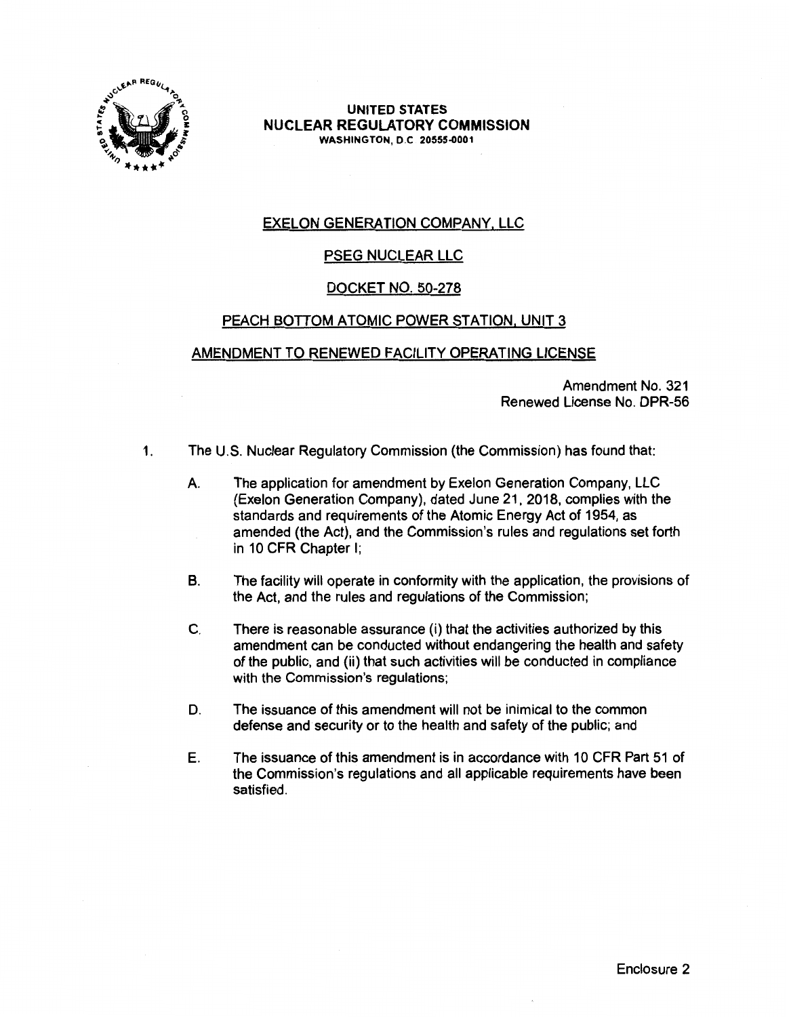

**UNITED STATES**  NUCLEAR **REGULATORY COMMISSION WASHINGTON,** D.C **20555-0001** 

# EXELON GENERATION COMPANY, LLC

# PSEG NUCLEAR LLC

# DOCKET NO. 50-278

# PEACH BOTTOM ATOMIC POWER STATION, UNIT 3

## AMENDMENT TO RENEWED FACILITY OPERATING LICENSE

Amendment No. 321 Renewed License No. DPR-56

- 1. The U.S. Nuclear Regulatory Commission (the Commission) has found that:
	- A. The application for amendment by Exelon Generation Company, LLC (Exelon Generation Company), dated June 21, 2018, complies with the standards and requirements of the Atomic Energy Act of 1954, as amended (the Act), and the Commission's rules and regulations set forth in 10 CFR Chapter I;
	- B. The facility will operate in conformity with the application, the provisions of the Act, and the rules and regulations of the Commission;
	- C. There is reasonable assurance (i) that the activities authorized by this amendment can be conducted without endangering the health and safety of the public, and (ii) that such activities will be conducted in compliance with the Commission's regulations;
	- D. The issuance of this amendment will not be inimical to the common defense and security or to the health and safety of the public; and
	- E. The issuance of this amendment is in accordance with 10 CFR Part 51 of the Commission's regulations and all applicable requirements have been satisfied.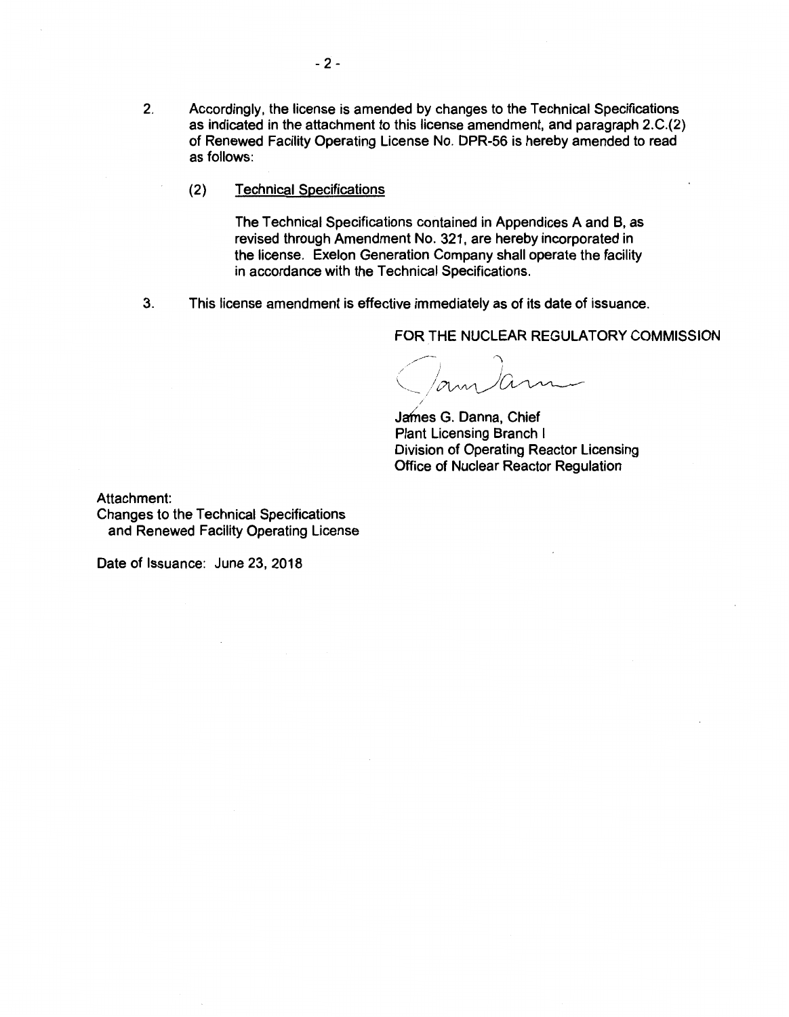- 2. Accordingly, the license is amended by changes to the Technical Specifications as indicated in the attachment to this license amendment, and paragraph 2.C.(2) of Renewed Facility Operating License No. DPR-56 is hereby amended to read as follows:
	- (2) Technical Specifications

The Technical Specifications contained in Appendices A and B, as revised through Amendment No. 321, are hereby incorporated in the license. Exelon Generation Company shall operate the facility in accordance with the Technical Specifications.

3. This license amendment is effective immediately as of its date of issuance.

/

FOR THE **NUCLEAR REGULATORY COMMISSION** 

amann

James G. Danna, Chief Plant Licensing Branch I Division of Operating Reactor Licensing Office of Nuclear Reactor Regulation

Attachment:

Changes to the Technical Specifications and Renewed Facility Operating License

Date of Issuance: June 23, 2018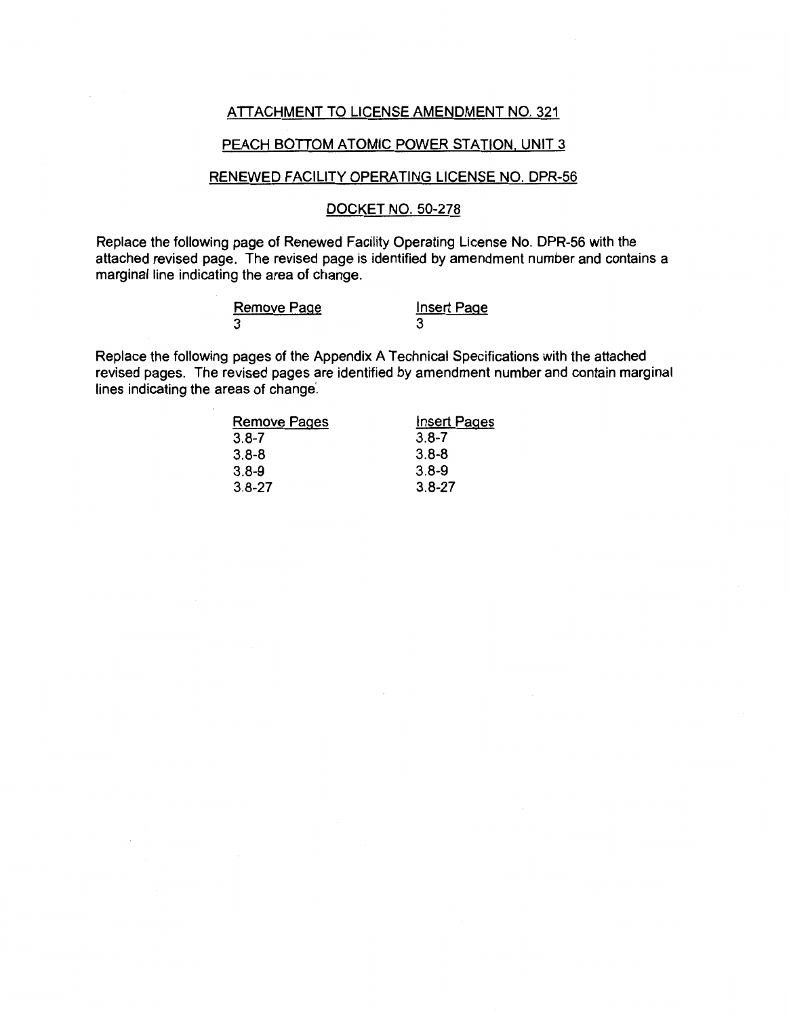#### ATTACHMENT TO LICENSE AMENDMENT NO. 321

### PEACH BOTTOM ATOMIC POWER STATION, UNIT 3

### RENEWED FACILITY OPERATING LICENSE NO. DPR-56

## DOCKET NO. 50-278

Replace the following page of Renewed Facility Operating License No. DPR-56 with the attached revised page. The revised page is identified by amendment number and contains a marginal line indicating the area of change.

| <b>Remove Page</b> | <b>Insert Page</b> |
|--------------------|--------------------|
|                    |                    |

Replace the following pages of the Appendix A Technical Specifications with the attached revised pages. The revised pages are identified by amendment number and contain marginal lines indicating the areas of change.

| <b>Remove Pages</b> | <b>Insert Pages</b> |
|---------------------|---------------------|
| $3.8 - 7$           | $3.8 - 7$           |
| $3.8 - 8$           | $3.8 - 8$           |
| $3.8 - 9$           | $3.8 - 9$           |
| $3.8 - 27$          | $3.8 - 27$          |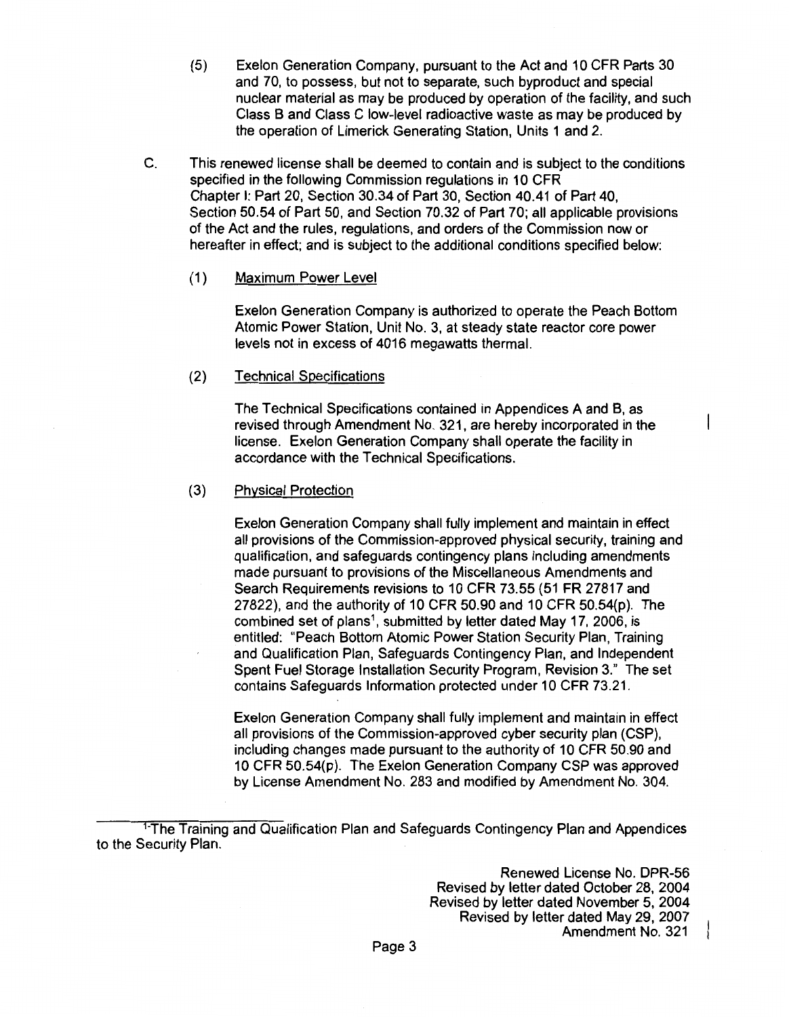(5) Exelon Generation Company, pursuant to the Act and 10 CFR Parts 30 and 70, to possess, but not to separate, such byproduct and special nuclear material as may be produced by operation of the facility, and such Class B and Class C low-level radioactive waste as may be produced by the operation of Limerick Generating Station, Units 1 and 2.

C. This renewed license shall be deemed to contain and is subject to the conditions specified in the following Commission regulations in 10 CFR Chapter I: Part 20, Section 30.34 of Part 30, Section 40.41 of Part 40, Section 50.54 of Part 50, and Section 70.32 of Part 70; all applicable provisions of the Act and the rules, regulations, and orders of the Commission now or hereafter in effect; and is subject to the additional conditions specified below:

## (1) Maximum Power Level

Exelon Generation Company is authorized to operate the Peach Bottom Atomic Power Station, Unit No. 3, at steady state reactor core power levels not in excess of 4016 megawatts thermal.

### (2) Technical Specifications

The Technical Specifications contained in Appendices A and B, as revised through Amendment No. 321, are hereby incorporated in the license. Exelon Generation Company shall operate the facility in accordance with the Technical Specifications.

#### (3) Physical Protection

Exelon Generation Company shall fully implement and maintain in effect all provisions of the Commission-approved physical security, training and qualification, and safeguards contingency plans including amendments made pursuant to provisions of the Miscellaneous Amendments and Search Requirements revisions to 10 CFR 73.55 (51 FR 27817 and 27822), and the authority of 10 CFR 50.90 and 10 CFR 50.54(p). The combined set of plans<sup>1</sup>, submitted by letter dated May 17, 2006, is entitled: "Peach Bottom Atomic Power Station Security Plan, Training and Qualification Plan, Safeguards Contingency Plan, and Independent Spent Fuel Storage Installation Security Program, Revision 3." The set contains Safeguards Information protected under 10 CFR 73.21.

Exelon Generation Company shall fully implement and maintain in effect all provisions of the Commission-approved cyber security plan (CSP), including changes made pursuant to the authority of 10 CFR 50.90 and 10 CFR 50.54(p). The Exelon Generation Company CSP was approved by License Amendment No. 283 and modified by Amendment No. 304.

<sup>&</sup>lt;sup>1-</sup>The Training and Qualification Plan and Safeguards Contingency Plan and Appendices to the Security Plan.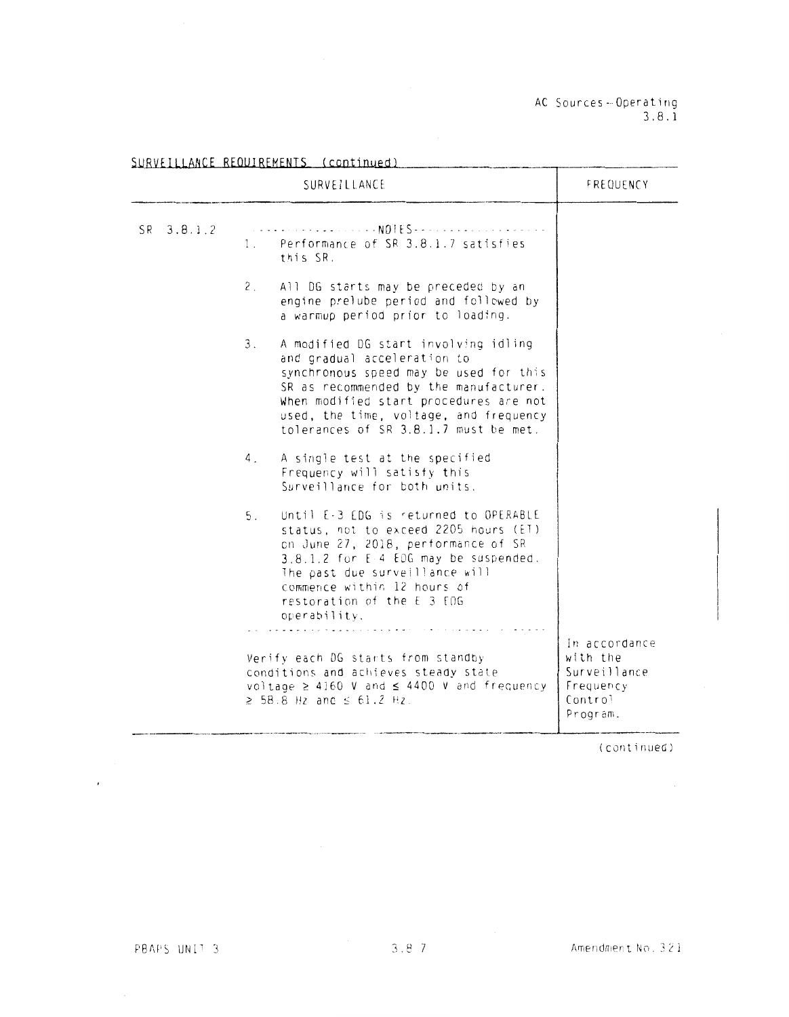AC Sources - Operating 3. 8. 1

|            | SURVEILLANCE                                                                                                                                                                                                                                                                               | FREQUENCY                                                                     |
|------------|--------------------------------------------------------------------------------------------------------------------------------------------------------------------------------------------------------------------------------------------------------------------------------------------|-------------------------------------------------------------------------------|
| SR 3.8.1.2 | . NOTES - -<br>Performance of SR 3.8.1.7 satisfies<br>1.<br>this SR.                                                                                                                                                                                                                       |                                                                               |
|            | 2.<br>All DG starts may be preceded by an<br>engine prelube period and followed by<br>a warmup period prior to loading.                                                                                                                                                                    |                                                                               |
|            | 3.<br>A modified DG start involving idling<br>and gradual acceleration to<br>synchronous speed may be used for this<br>SR as recommended by the manufacturer.<br>When modified start procedures are not<br>used, the time, voltage, and frequency<br>tolerances of SR 3.8.1.7 must be met. |                                                                               |
|            | A single test at the specified<br>4.<br>Frequency will satisfy this<br>Surveillance for both units.                                                                                                                                                                                        |                                                                               |
|            | Until E-3 EDG is returned to OPERABLE<br>5.<br>status, not to exceed 2205 hours (ET)<br>on June 27, 2018, performance of SR<br>3.8.1.2 for E-4 EDG may be suspended.<br>The past due surveillance will<br>commence within 12 hours of<br>restoration of the E 3 EDG<br>operability.        |                                                                               |
|            | Verify each DG starts from standby<br>conditions and achieves steady state<br>voltage $\geq$ 4160 V and $\leq$ 4400 V and frequency<br>≥ 58.8 Hz and ≤ 61.2 Hz.                                                                                                                            | In accordance<br>with the<br>Surveillance<br>Frequency<br>Control<br>Program. |

**iU.RlllLLAHCE REOlJIREMENTS Ccontinuedl** 

(continued)

PBAPS UNIT 3

 $\epsilon$ 

Amendment No. 321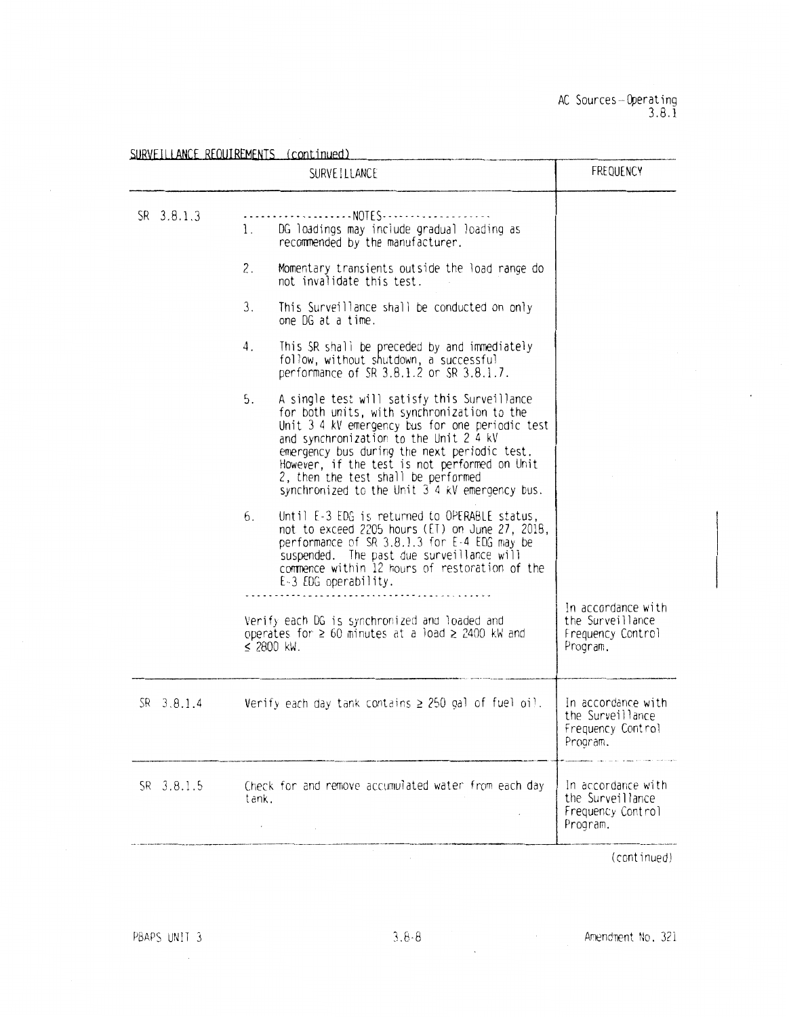|                | SURVEILLANCE                                                                                                                                                                                                                                                                                                                                                                             | <b>FREQUENCY</b>                                                        |
|----------------|------------------------------------------------------------------------------------------------------------------------------------------------------------------------------------------------------------------------------------------------------------------------------------------------------------------------------------------------------------------------------------------|-------------------------------------------------------------------------|
| SR 3.8.1.3     | DG loadings may include gradual loading as<br>1.<br>recommended by the manufacturer.                                                                                                                                                                                                                                                                                                     |                                                                         |
|                | 2.<br>Momentary transients outside the load range do<br>not invalidate this test.                                                                                                                                                                                                                                                                                                        |                                                                         |
|                | 3.<br>This Surveillance shall be conducted on only<br>one DG at a time.                                                                                                                                                                                                                                                                                                                  |                                                                         |
|                | This SR shall be preceded by and immediately<br>4.<br>follow, without shutdown, a successful<br>performance of SR 3.8.1.2 or SR 3.8.1.7.                                                                                                                                                                                                                                                 |                                                                         |
|                | 5.<br>A single test will satisfy this Surveillance<br>for both units, with synchronization to the<br>Unit 3.4 kV emergency bus for one periodic test<br>and synchronization to the Unit 2.4 kV<br>emergency bus during the next periodic test.<br>However, if the test is not performed on Unit<br>2, then the test shall be performed<br>synchronized to the Unit 3 4 kV emergency bus. |                                                                         |
|                | Until E-3 EDG is returned to OPERABLE status,<br>6.<br>not to exceed 2205 hours (ET) on June 27, 2018,<br>performance of SR 3.8.1.3 for E-4 EDG may be<br>suspended. The past due surveillance will<br>commence within 12 hours of restoration of the<br>E-3 EDG operability.                                                                                                            |                                                                         |
|                | Verify each DG is synchronized and loaded and<br>operates for $\geq 60$ minutes at a load $\geq 2400$ kW and<br>$≤$ 2800 kW.                                                                                                                                                                                                                                                             | In accordance with<br>the Surveillance<br>Frequency Control<br>Program. |
| $SR = 3.8.1.4$ | Verify each day tank contains $\geq$ 250 gal of fuel oil.                                                                                                                                                                                                                                                                                                                                | In accordance with<br>the Surveillance<br>Frequency Control<br>Program. |
| SR 3.8.1.5     | Check for and remove accumulated water from each day<br>tank.                                                                                                                                                                                                                                                                                                                            | In accordance with<br>the Surveillance<br>Frequency Control<br>Program. |

(continued)

 $\sim 10^{11}$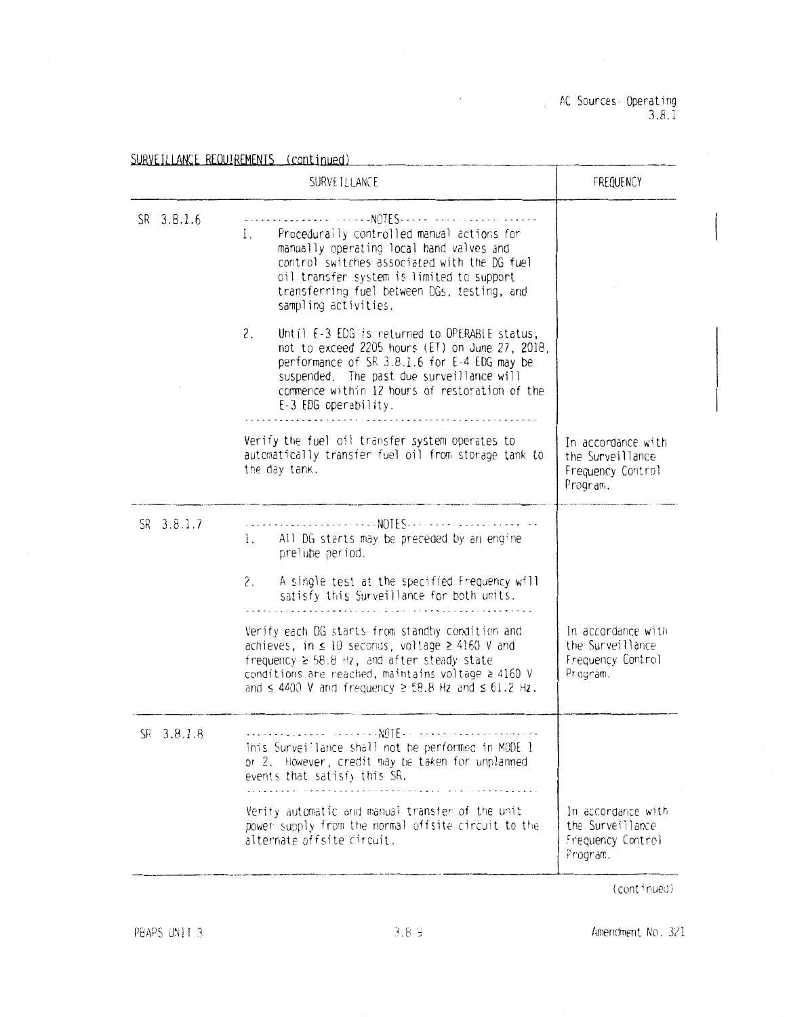AC Sources-Operating<br>3.8.1

|            | SURVET LLANCE                                                                                                                                                                                                                                                                                      | FREQUENCY                                                               |
|------------|----------------------------------------------------------------------------------------------------------------------------------------------------------------------------------------------------------------------------------------------------------------------------------------------------|-------------------------------------------------------------------------|
| SR 3.8.1.6 | . NOTES<br>Procedurally controlled manual actions for<br>1.<br>manually operating local hand valves and<br>control switches associated with the DG fuel<br>oil transfer system is limited to support<br>transferring fuel between DGs, testing, and<br>sampling activities.                        |                                                                         |
|            | 2.<br>Until E-3 EDG is returned to OPERABLE status,<br>not to exceed 2205 hours (ET) on June 27, 2018,<br>performance of SR 3.8.1.6 for E-4 EDG may be<br>suspended. The past due surveillance will<br>commence within 12 hours of restoration of the<br>E-3 EDG operability.                      |                                                                         |
|            | Verify the fuel oil transfer system operates to<br>automatically transfer fuel oil from storage tank to<br>the day tank.                                                                                                                                                                           | In accordance with<br>the Surveillance<br>Frequency Control<br>Program. |
| SR 3.8.1.7 | . <b>. NOTES. .</b><br>All DG starts may be preceded by an engine<br>$\mathbf{L}$<br>prelube period.                                                                                                                                                                                               |                                                                         |
|            | A single test at the specified Frequency will<br>2.<br>satisfy this Surveillance for both units.                                                                                                                                                                                                   |                                                                         |
|            | Verify each DG starts from standby condition and<br>achieves, in $\leq 10$ seconds, voltage $\geq 4160$ V and<br>frequency $\geq$ 58.8 Hz, and after steady state<br>conditions are reached, maintains voltage $\geq$ 4160 V<br>and $\leq$ 4400 V and frequency $\geq$ 58.8 Hz and $\leq$ 61.2 Hz. | In accordance with<br>the Surveillance<br>Frequency Control<br>Program. |
| SR 3.8.1.8 | Inis Surveillance shall not be performed in MODE 1<br>or 2. However, credit may be taken for unplanned<br>events that satisfy this SR.                                                                                                                                                             |                                                                         |
|            | Verify automatic and manual transfer of the unit<br>power supply from the normal offsite circuit to the<br>alternate offsite circuit.                                                                                                                                                              | In accordance with<br>the Surveillance<br>Frequency Control<br>Program. |

(continued)

PBAPS UNIT 3

Amendment No. 321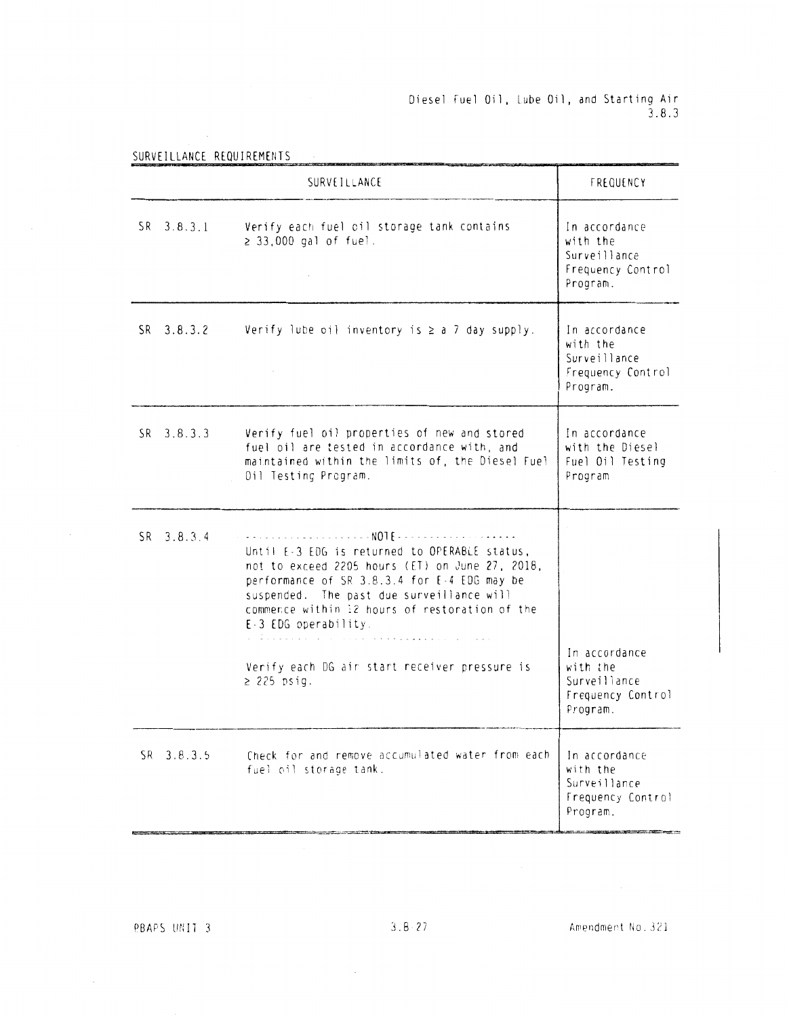# Diesel Fuel Oil, Lube Oil, and Starting Air<br>3.8.3

|                | FREQUENCY                                                                                                                                                                                                                                                                                                                     |                                                                            |
|----------------|-------------------------------------------------------------------------------------------------------------------------------------------------------------------------------------------------------------------------------------------------------------------------------------------------------------------------------|----------------------------------------------------------------------------|
| SR 3.8.3.1     | Verify each fuel oil storage tank contains<br>$\geq$ 33,000 gal of fuel.                                                                                                                                                                                                                                                      | In accordance<br>with the<br>Surveillance<br>Frequency Control<br>Program. |
| $SR$ 3.8.3.2   | Verify lube oil inventory is $\ge$ a 7 day supply.                                                                                                                                                                                                                                                                            | In accordance<br>with the<br>Surveillance<br>Frequency Control<br>Program. |
| SR 3.8.3.3     | Verify fuel oil properties of new and stored<br>fuel oil are tested in accordance with, and<br>maintained within the limits of, the Diesel Fuel<br>Oil Testing Program.                                                                                                                                                       | In accordance<br>with the Diesel<br>Fuel Oil Testing<br>Program            |
| $SR = 3.8.3.4$ | Until E-3 EDG is returned to OPERABLE status,<br>not to exceed 2205 hours (ET) on June 27, 2018,<br>performance of SR 3.8.3.4 for E-4 EDG may be<br>suspended. The past due surveillance will<br>commence within 12 hours of restoration of the<br>E-3 EDG operability.<br>.<br>Verify each DG air start receiver pressure is | In accordance<br>with the<br>Surveillance                                  |
|                | $\geq$ 225 psig.                                                                                                                                                                                                                                                                                                              | Frequency Control<br>Program.                                              |
| $SR$ 3.8.3.5   | Check for and remove accumulated water from each<br>fuel oil storage tank.                                                                                                                                                                                                                                                    | In accordance<br>with the<br>Surveillance<br>Frequency Control<br>Program. |

 $\sim$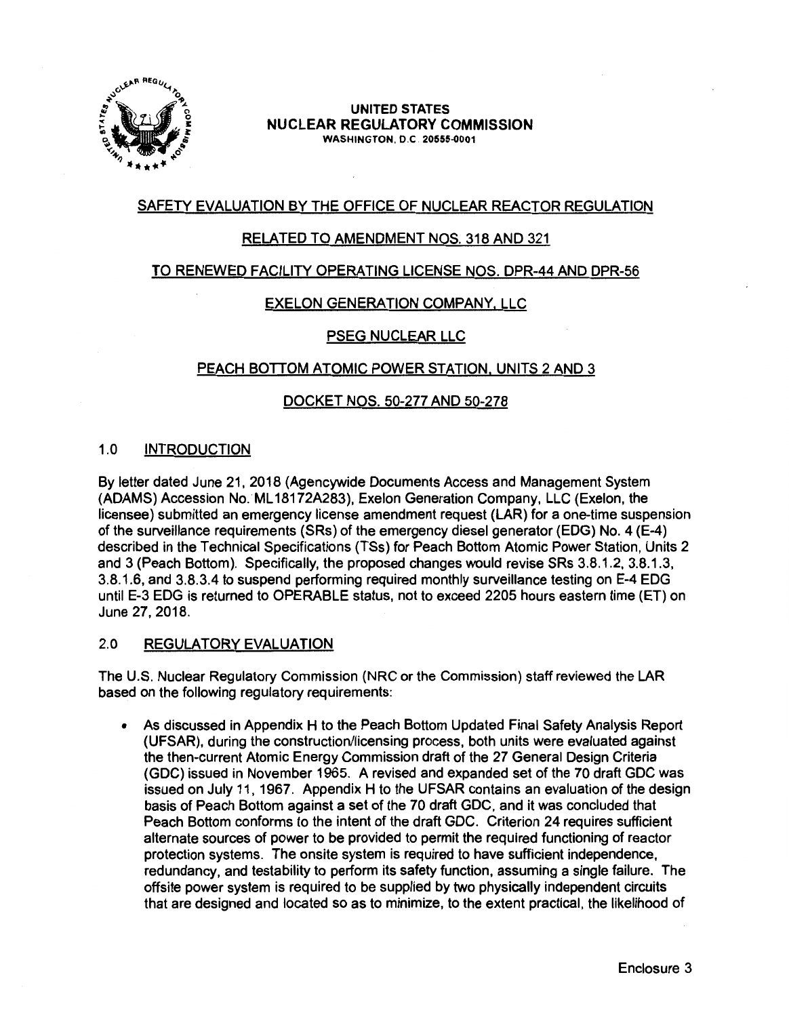

#### **UNITED STATES NUCLEAR REGULATORY COMMISSION WASHINGTON,** 0.C **20555-0001**

# SAFETY EVALUATION BY THE OFFICE OF NUCLEAR REACTOR REGULATION

# RELATED TO AMENDMENT NOS. 318 AND 321

## TO RENEWED FACILITY OPERATING LICENSE NOS. DPR-44 AND DPR-56

# EXELON GENERATION COMPANY, LLC

## PSEG NUCLEAR LLC

## PEACH BOTTOM ATOMIC POWER STATION, UNITS 2 AND 3

## DOCKET NOS. 50-277 AND 50-278

## 1.0 INTRODUCTION

By letter dated June 21, 2018 (Agencywide Documents Access and Management System {ADAMS) Accession No. ML 18172A283), Exelon Generation Company, LLC (Exelon, the licensee) submitted an emergency license amendment request {LAR) for a one-time suspension of the surveillance requirements {SRs) of the emergency diesel generator (EDG) No. 4 {E-4) described in the Technical Specifications {TSs) for Peach Bottom Atomic Power Station, Units 2 and 3 {Peach Bottom). Specifically, the proposed changes would revise SRs 3.8.1.2, 3.8.1.3, 3.8.1.6, and 3.8.3.4 to suspend performing required monthly surveillance testing on E-4 EDG until E-3 EDG is returned to OPERABLE status, not to exceed 2205 hours eastern time (ET) on June 27, 2018.

## 2.0 REGULATORY EVALUATION

The U.S. Nuclear Regulatory Commission (NRC or the Commission) staff reviewed the LAR based on the following regulatory requirements:

• As discussed in Appendix H to the Peach Bottom Updated Final Safety Analysis Report (UFSAR), during the construction/licensing process, both units were evaluated against the then-current Atomic Energy Commission draft of the 27 General Design Criteria (GDC) issued in November 1965. A revised and expanded set of the 70 draft GDC was issued on July 11, 1967. Appendix H to the UFSAR contains an evaluation of the design basis of Peach Bottom against a set of the 70 draft GDC, and it was concluded that Peach Bottom conforms to the intent of the draft GDC. Criterion 24 requires sufficient alternate sources of power to be provided to permit the required functioning of reactor protection systems. The onsite system is required to have sufficient independence, redundancy, and testability to perform its safety function, assuming a single failure. The offsite power system is required to be supplied by two physically independent circuits that are designed and located so as to minimize, to the extent practical, the likelihood of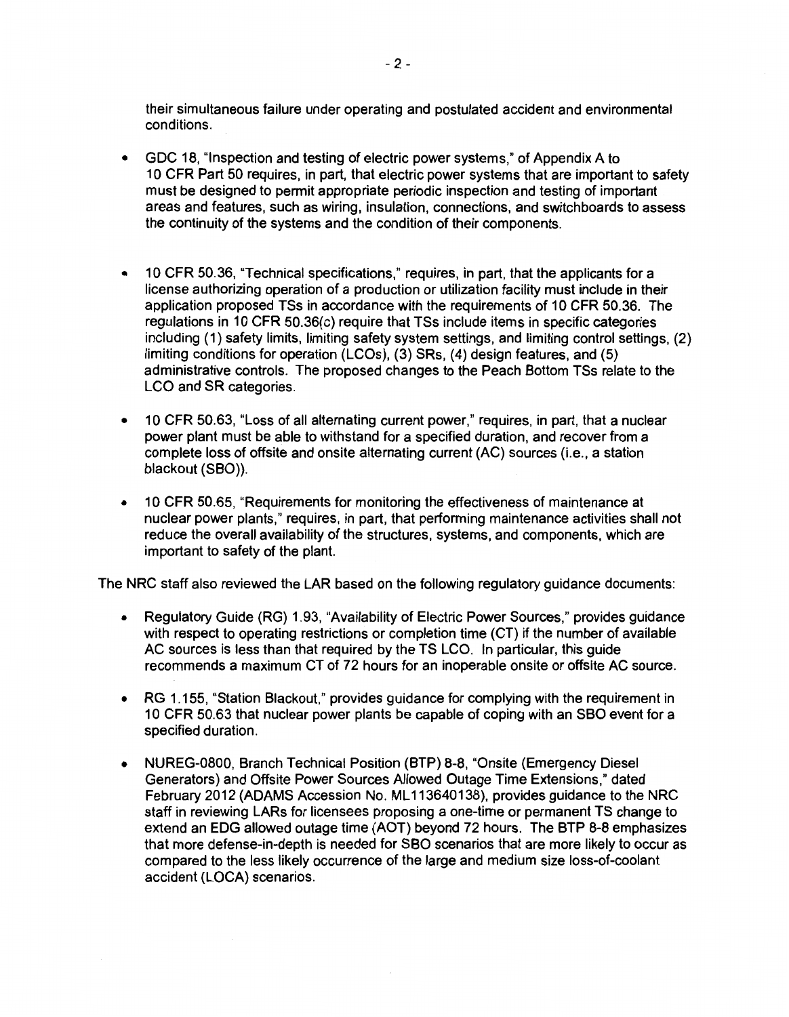their simultaneous failure under operating and postulated accident and environmental conditions.

- GDC 18, "Inspection and testing of electric power systems," of Appendix A to 10 CFR Part 50 requires, in part, that electric power systems that are important to safety must be designed to permit appropriate periodic inspection and testing of important areas and features, such as wiring, insulation, connections, and switchboards to assess the continuity of the systems and the condition of their components.
- 10 CFR 50.36, "Technical specifications," requires, in part, that the applicants for a license authorizing operation of a production or utilization facility must include in their application proposed TSs in accordance with the requirements of 10 CFR 50.36. The regulations in 10 CFR 50.36(c) require that TSs include items in specific categories including (1) safety limits, limiting safety system settings, and limiting control settings, (2) limiting conditions for operation (LCOs), (3) SRs, (4) design features, and (5) administrative controls. The proposed changes to the Peach Bottom TSs relate to the LCO and SR categories.
- 10 CFR 50.63, "Loss of all alternating current power," requires, in part, that a nuclear power plant must be able to withstand for a specified duration, and recover from a complete loss of offsite and onsite alternating current (AC) sources (i.e., a station blackout (SBO)).
- 10 CFR 50.65, "Requirements for monitoring the effectiveness of maintenance at nuclear power plants," requires, in part, that performing maintenance activities shall not reduce the overall availability of the structures, systems, and components, which are important to safety of the plant.

The NRC staff also reviewed the LAR based on the following regulatory guidance documents:

- Regulatory Guide (RG) 1.93, "Availability of Electric Power Sources," provides guidance with respect to operating restrictions or completion time (CT) if the number of available AC sources is less than that required by the TS LCO. In particular, this guide recommends a maximum CT of 72 hours for an inoperable onsite or offsite AC source.
- RG 1.155, "Station Blackout," provides guidance for complying with the requirement in 10 CFR 50.63 that nuclear power plants be capable of coping with an SBO event for a specified duration.
- NUREG-0800, Branch Technical Position (BTP} 8-8, "Onsite (Emergency Diesel Generators) and Offsite Power Sources Allowed Outage Time Extensions," dated February 2012 (ADAMS Accession No. ML 113640138), provides guidance to the NRC staff in reviewing LARs for licensees proposing a one-time or permanent TS change to extend an EOG allowed outage time (AOT} beyond 72 hours. The BTP 8-8 emphasizes that more defense-in-depth is needed for SBO scenarios that are more likely to occur as compared to the less likely occurrence of the large and medium size loss-of-coolant accident (LOCA) scenarios.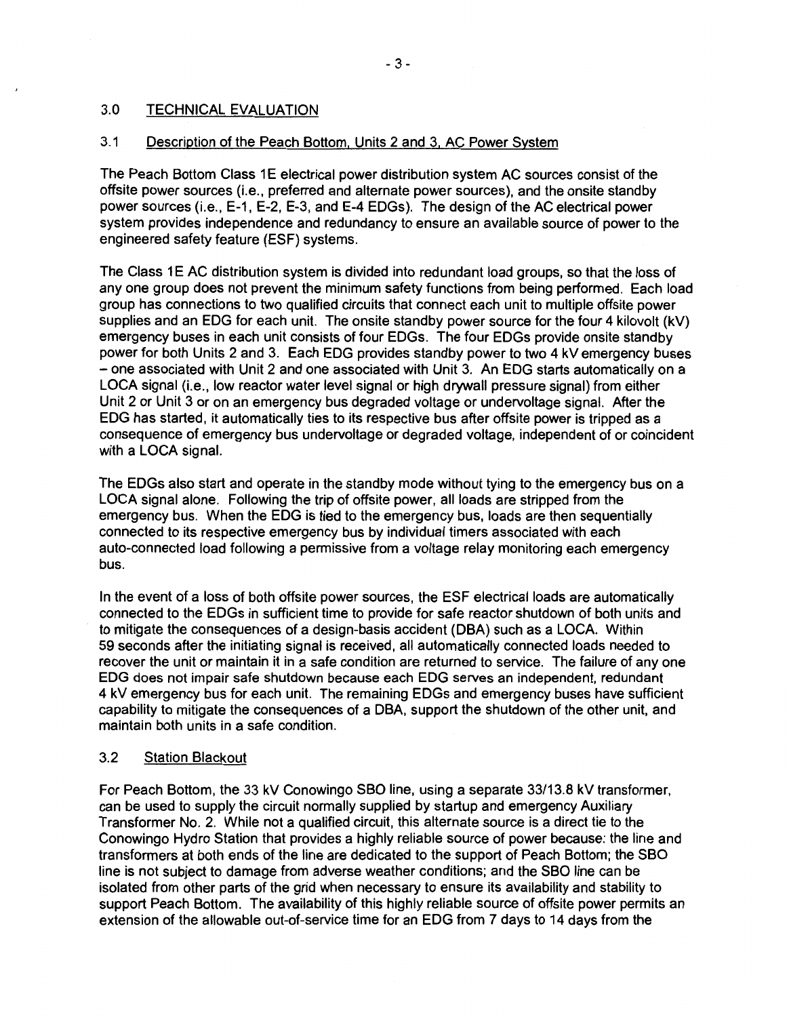## 3.0 TECHNICAL EVALUATION

## 3.1 Description of the Peach Bottom, Units 2 and 3, AC Power System

The Peach Bottom Class 1 E electrical power distribution system AC sources consist of the offsite power sources (i.e., preferred and alternate power sources), and the onsite standby power sources (i.e., E-1, E-2, E-3, and E-4 EDGs). The design of the AC electrical power system provides independence and redundancy to ensure an available source of power to the engineered safety feature (ESF) systems.

The Class 1 E AC distribution system is divided into redundant load groups, so that the loss of any one group does not prevent the minimum safety functions from being performed. Each load group has connections to two qualified circuits that connect each unit to multiple offsite power supplies and an EOG for each unit. The onsite standby power source for the four 4 kilovolt (kV) emergency buses in each unit consists of four EDGs. The four EDGs provide onsite standby power for both Units 2 and 3. Each EOG provides standby power to two 4 kV emergency buses - one associated with Unit 2 and one associated with Unit 3. An EOG starts automatically on a LOCA signal (i.e., low reactor water level signal or high drywall pressure signal) from either Unit 2 or Unit 3 or on an emergency bus degraded voltage or undervoltage signal. After the EOG has started, it automatically ties to its respective bus after offsite power is tripped as a consequence of emergency bus undervoltage or degraded voltage, independent of or coincident with a LOCA signal.

The EDGs also start and operate in the standby mode without tying to the emergency bus on a LOCA signal alone. Following the trip of offsite power, all loads are stripped from the emergency bus. When the EOG is tied to the emergency bus, loads are then sequentially connected to its respective emergency bus by individual timers associated with each auto-connected load following a permissive from a voltage relay monitoring each emergency bus.

In the event of a loss of both offsite power sources, the ESF electrical loads are automatically connected to the EDGs in sufficient time to provide for safe reactor shutdown of both units and to mitigate the consequences of a design-basis accident (OBA) such as a LOCA. Within 59 seconds after the initiating signal is received, all automatically connected loads needed to recover the unit or maintain it in a safe condition are returned to service. The failure of any one EOG does not impair safe shutdown because each EOG serves an independent, redundant 4 kV emergency bus for each unit. The remaining EDGs and emergency buses have sufficient capability to mitigate the consequences of a OBA, support the shutdown of the other unit, and maintain both units in a safe condition.

## 3.2 Station Blackout

For Peach Bottom, the 33 kV Conowingo SBO line, using a separate 33/13.8 kV transformer, can be used to supply the circuit normally supplied by startup and emergency Auxiliary Transformer No. 2. While not a qualified circuit, this alternate source is a direct tie to the Conowingo Hydro Station that provides a highly reliable source of power because: the line and transformers at both ends of the line are dedicated to the support of Peach Bottom; the SBO line is not subject to damage from adverse weather conditions; and the SBO line can be isolated from other parts of the grid when necessary to ensure its availability and stability to support Peach Bottom. The availability of this highly reliable source of offsite power permits an extension of the allowable out-of-service time for an EOG from 7 days to 14 days from the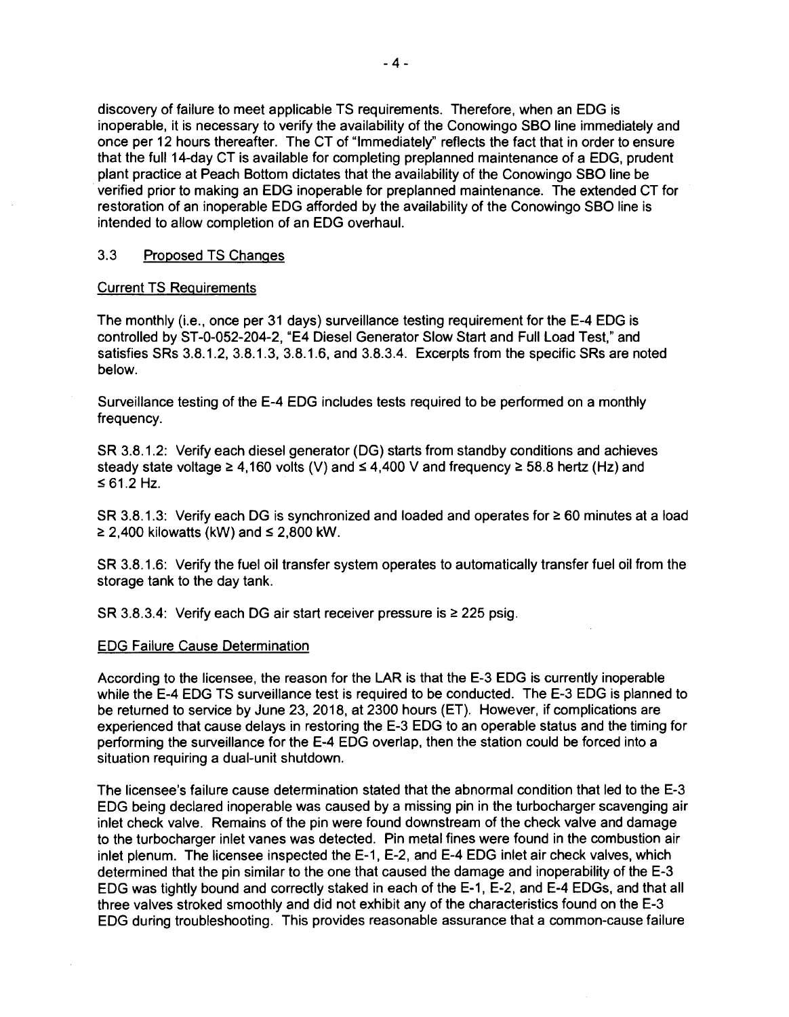discovery of failure to meet applicable TS requirements. Therefore, when an EOG is inoperable, it is necessary to verify the availability of the Conowingo SBO line immediately and once per 12 hours thereafter. The CT of "Immediately" reflects the fact that in order to ensure that the full 14-day CT is available for completing preplanned maintenance of a EOG, prudent plant practice at Peach Bottom dictates that the availability of the Conowingo SBO line be verified prior to making an EOG inoperable for preplanned maintenance. The extended CT for restoration of an inoperable EDG afforded by the availability of the Conowingo SBO line is intended to allow completion of an EOG overhaul.

### 3.3 Proposed TS Changes

#### Current TS Requirements

The monthly (i.e., once per 31 days) surveillance testing requirement for the E-4 EOG is controlled by ST-0-052-204-2, "E4 Diesel Generator Slow Start and Full Load Test," and satisfies SRs 3.8.1.2, 3.8.1.3, 3.8.1.6, and 3.8.3.4. Excerpts from the specific SRs are noted below.

Surveillance testing of the E-4 EDG includes tests required to be performed on a monthly frequency.

SR 3.8.1.2: Verify each diesel generator (DG) starts from standby conditions and achieves steady state voltage  $\geq 4,160$  volts (V) and  $\leq 4,400$  V and frequency  $\geq 58.8$  hertz (Hz) and  $\le 61.2$  Hz.

SR 3.8.1.3: Verify each DG is synchronized and loaded and operates for  $\geq 60$  minutes at a load  $\geq$  2,400 kilowatts (kW) and  $\leq$  2,800 kW.

SR 3.8.1.6: Verify the fuel oil transfer system operates to automatically transfer fuel oil from the storage tank to the day tank.

SR 3.8.3.4: Verify each DG air start receiver pressure is  $\geq$  225 psig.

#### EDG Failure Cause Determination

According to the licensee, the reason for the **LAR is** that the E-3 EDG is currently inoperable while the E-4 EDG TS surveillance test is required to be conducted. The E-3 EDG is planned to be returned to service by June 23, 2018, at 2300 hours (ET). However, if complications are experienced that cause delays in restoring the E-3 EOG to an operable status and the timing for performing the surveillance for the E-4 EDG overlap, then the station could be forced into a situation requiring a dual-unit shutdown.

The licensee's failure cause determination stated that the abnormal condition that led to the E-3 EOG being declared inoperable was caused by a missing pin in the turbocharger scavenging air inlet check valve. Remains of the pin were found downstream of the check valve and damage to the turbocharger inlet vanes was detected. Pin metal fines were found in the combustion air inlet plenum. The licensee inspected the E-1, E-2, and E-4 EDG inlet air check valves, which determined that the pin similar to the one that caused the damage and inoperability of the E-3 EDG was tightly bound and correctly staked in each of the E-1, E-2, and E-4 EDGs, and that all three valves stroked smoothly and did not exhibit any of the characteristics found on the E-3 EOG during troubleshooting. This provides reasonable assurance that a common-cause failure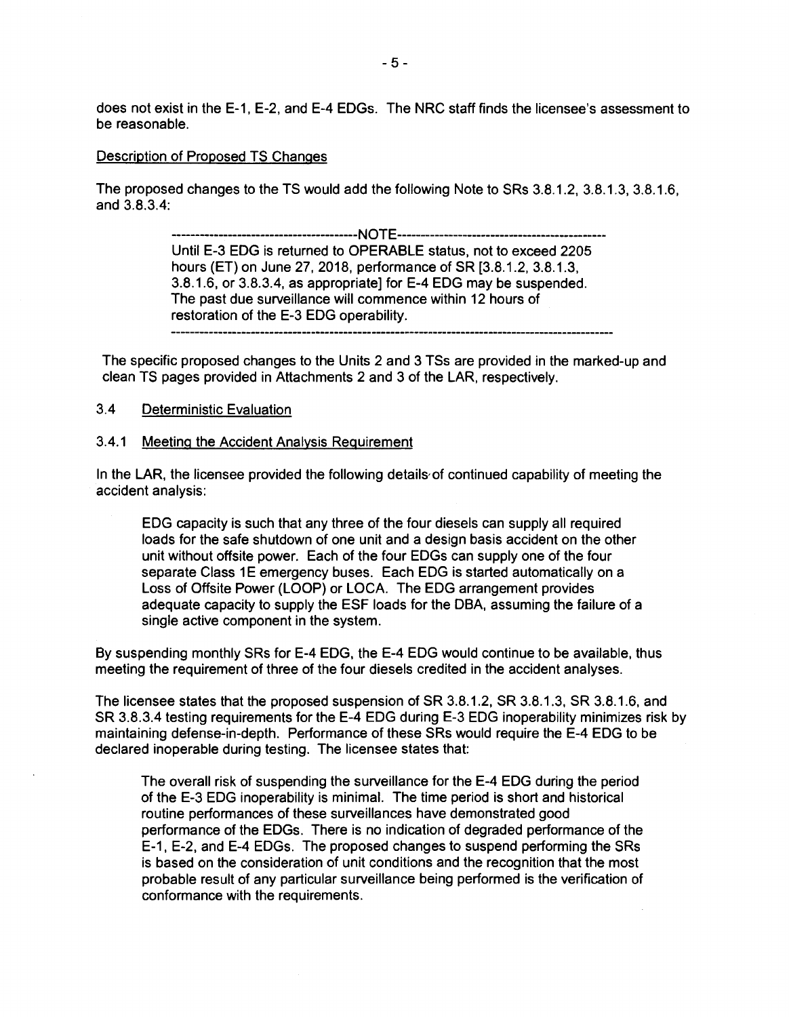does not exist in the E-1, E-2, and E-4 EDGs. The NRC staff finds the licensee's assessment to be reasonable.

#### Description of Proposed TS Changes

The proposed changes to the TS would add the following Note to SRs 3.8.1.2, 3.8.1.3, 3.8.1.6, and 3.8.3.4:

> ----------------------------------------NOTE-------------------------------------------- Until E-3 EOG is returned to OPERABLE status, not to exceed 2205 hours (ET) on June 27, 2018, performance of SR [3.8.1.2, 3.8.1.3, 3.8.1.6, or 3.8.3.4, as appropriate] for E-4 EOG may be suspended. The past due surveillance will commence within 12 hours of restoration of the E-3 EOG operability.

The specific proposed changes to the Units 2 and 3 TSs are provided in the marked-up and clean TS pages provided in Attachments 2 and 3 of the LAR, respectively.

## 3.4 Deterministic Evaluation

#### 3.4.1 Meeting the Accident Analysis Requirement

In the LAR, the licensee provided the following details of continued capability of meeting the accident analysis:

EOG capacity is such that any three of the four diesels can supply all required loads for the safe shutdown of one unit and a design basis accident on the other unit without offsite power. Each of the four EDGs can supply one of the four separate Class 1E emergency buses. Each EDG is started automatically on a Loss of Offsite Power (LOOP) or LOCA. The EOG arrangement provides adequate capacity to supply the ESF loads for the OBA, assuming the failure of a single active component in the system.

By suspending monthly SRs for E-4 EOG, the E-4 EOG would continue to be available, thus meeting the requirement of three of the four diesels credited in the accident analyses.

The licensee states that the proposed suspension of SR 3.8.1.2, SR 3.8.1.3, SR 3.8.1.6, and SR 3.8.3.4 testing requirements for the E-4 EOG during E-3 EOG inoperability minimizes risk by maintaining defense-in-depth. Performance of these SRs would require the E-4 EOG to be declared inoperable during testing. The licensee states that:

The overall risk of suspending the surveillance for the E-4 EOG during the period of the E-3 EOG inoperability is minimal. The time period is short and historical routine performances of these surveillances have demonstrated good performance of the EDGs. There is no indication of degraded performance of the E-1, E-2, and E-4 EDGs. The proposed changes to suspend performing the SRs is based on the consideration of unit conditions and the recognition that the most probable result of any particular surveillance being performed is the verification of conformance with the requirements.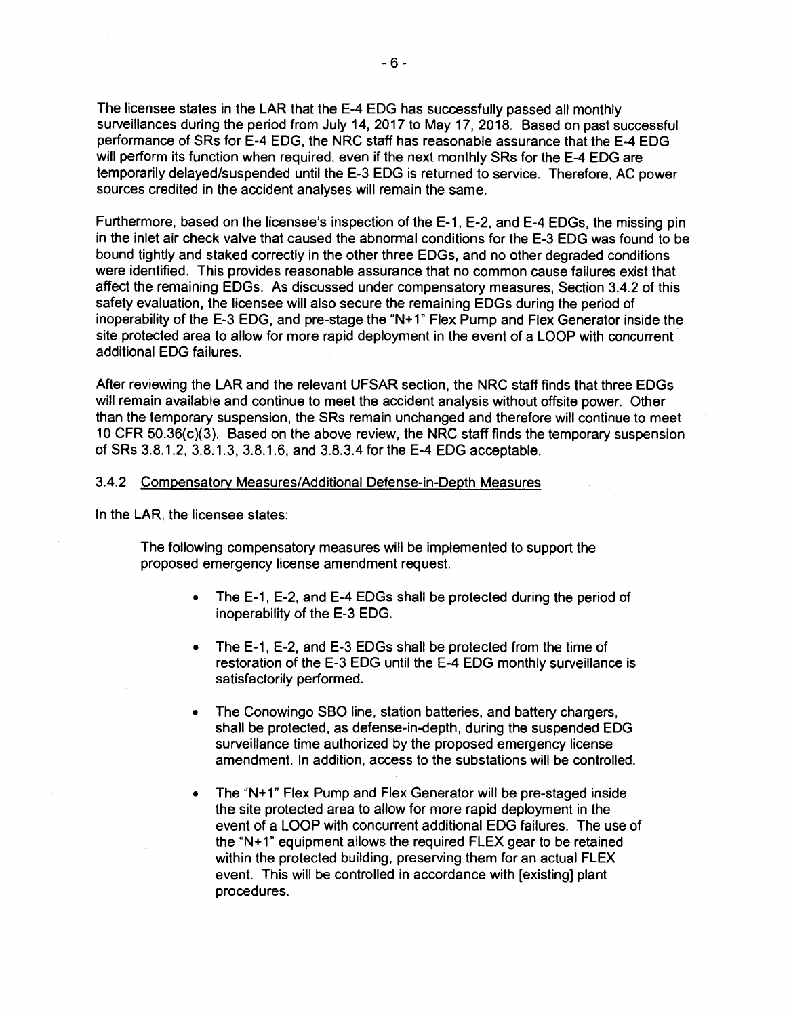The licensee states in the LAR that the E-4 EDG has successfully passed all monthly surveillances during the period from July 14, 2017 to May 17, 2018. Based on past successful performance of SRs for E-4 EDG, the NRC staff has reasonable assurance that the E-4 EDG will perform its function when required, even if the next monthly SRs for the E-4 EDG are temporarily delayed/suspended until the E-3 EDG is returned to service. Therefore, AC power sources credited in the accident analyses will remain the same.

Furthermore, based on the licensee's inspection of the E-1, E-2, and E-4 EDGs, the missing pin in the inlet air check valve that caused the abnormal conditions for the E-3 EDG was found to be bound tightly and staked correctly in the other three EDGs, and no other degraded conditions were identified. This provides reasonable assurance that no common cause failures exist that affect the remaining EDGs. As discussed under compensatory measures, Section 3.4.2 of this safety evaluation, the licensee will also secure the remaining EDGs during the period of inoperability of the E-3 EDG, and pre-stage the "N+1" Flex Pump and Flex Generator inside the site protected area to allow for more rapid deployment in the event of a LOOP with concurrent additional EDG failures.

After reviewing the LAR and the relevant UFSAR section, the NRC staff finds that three EDGs will remain available and continue to meet the accident analysis without offsite power. Other than the temporary suspension, the SRs remain unchanged and therefore will continue to meet 10 CFR 50.36(c)(3). Based on the above review, the NRC staff finds the temporary suspension of SRs 3.8.1.2, 3.8.1.3, 3.8.1.6, and 3.8.3.4 for the E-4 EDG acceptable.

#### 3.4.2 Compensatory Measures/Additional Defense-in-Depth Measures

In the LAR, the licensee states:

The following compensatory measures will be implemented to support the proposed emergency license amendment request.

- The E-1, E-2, and E-4 EDGs shall be protected during the period of inoperability of the E-3 EDG.
- The E-1, E-2, and E-3 EDGs shall be protected from the time of restoration of the E-3 EDG until the E-4 EDG monthly surveillance is satisfactorily performed.
- The Conowingo SBO line, station batteries, and battery chargers, shall be protected, as defense-in-depth, during the suspended EDG surveillance time authorized by the proposed emergency license amendment. In addition, access to the substations will be controlled.
- The "N+1" Flex Pump and Flex Generator will be pre-staged inside the site protected area to allow for more rapid deployment in the event of a LOOP with concurrent additional EDG failures. The use of the "N+1" equipment allows the required FLEX gear to be retained within the protected building, preserving them for an actual FLEX event. This will be controlled in accordance with [existing] plant procedures.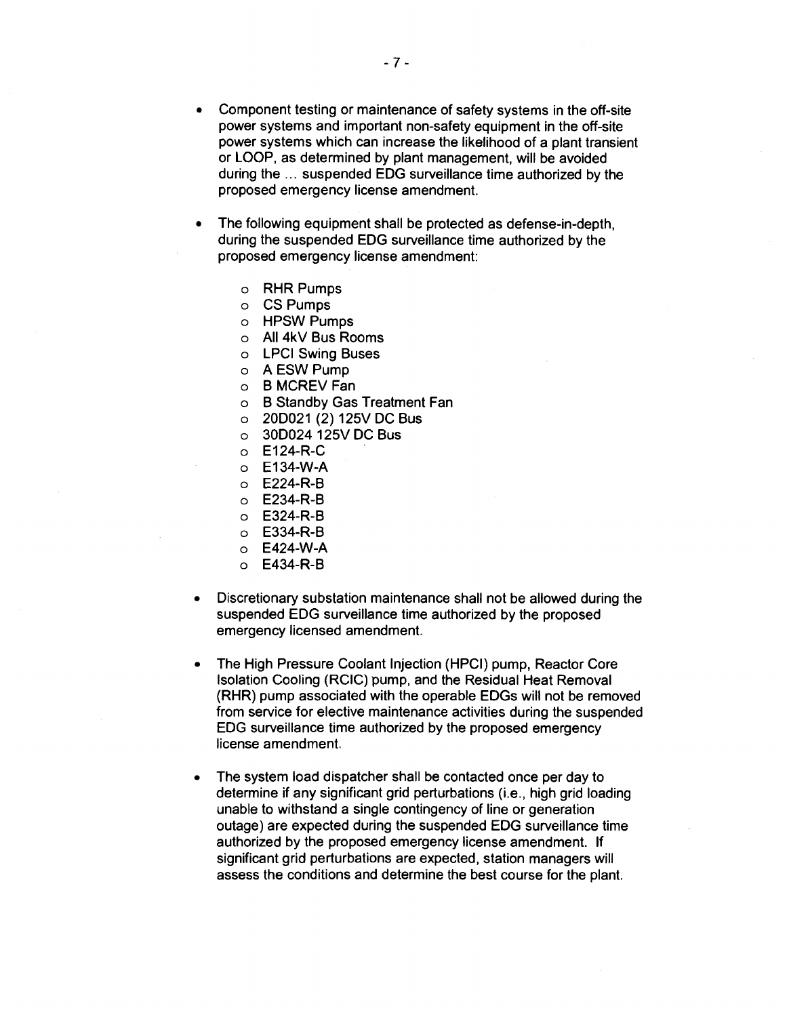- Component testing or maintenance of safety systems in the off-site power systems and important non-safety equipment in the off-site power systems which can increase the likelihood of a plant transient or LOOP, as determined by plant management, will be avoided during the ... suspended EOG surveillance time authorized by the proposed emergency license amendment.
- The following equipment shall be protected as defense-in-depth, during the suspended EOG surveillance time authorized by the proposed emergency license amendment:
	- o **RHR** Pumps
	- o CS Pumps
	- o HPSW Pumps
	- o All 4kV Bus Rooms
	- o LPCI Swing Buses
	- o A ESW Pump
	- o B MCREV Fan
	- o B Standby Gas Treatment Fan
	- o 200021 (2) 125V DC Bus
	- o 300024 125V DC Bus
	- o E124-R-C
	- o E134-W-A
	- o E224-R-B
	- o E234-R-B
	- o E324-R-B
	- o E334-R-B
	- o E424-W-A
	- o E434-R-B
- Discretionary substation maintenance shall not be allowed during the suspended EOG surveillance time authorized by the proposed emergency licensed amendment.
- The High Pressure Coolant Injection (HPCI) pump, Reactor Core Isolation Cooling (RCIC) pump, and the Residual Heat Removal (RHR) pump associated with the operable EDGs will not be removed from service for elective maintenance activities during the suspended EOG surveillance time authorized by the proposed emergency license amendment.
- The system load dispatcher shall be contacted once per day to determine if any significant grid perturbations (i.e., high grid loading unable to withstand a single contingency of line or generation outage) are expected during the suspended EOG surveillance time authorized by the proposed emergency license amendment. If significant grid perturbations are expected, station managers will assess the conditions and determine the best course for the plant.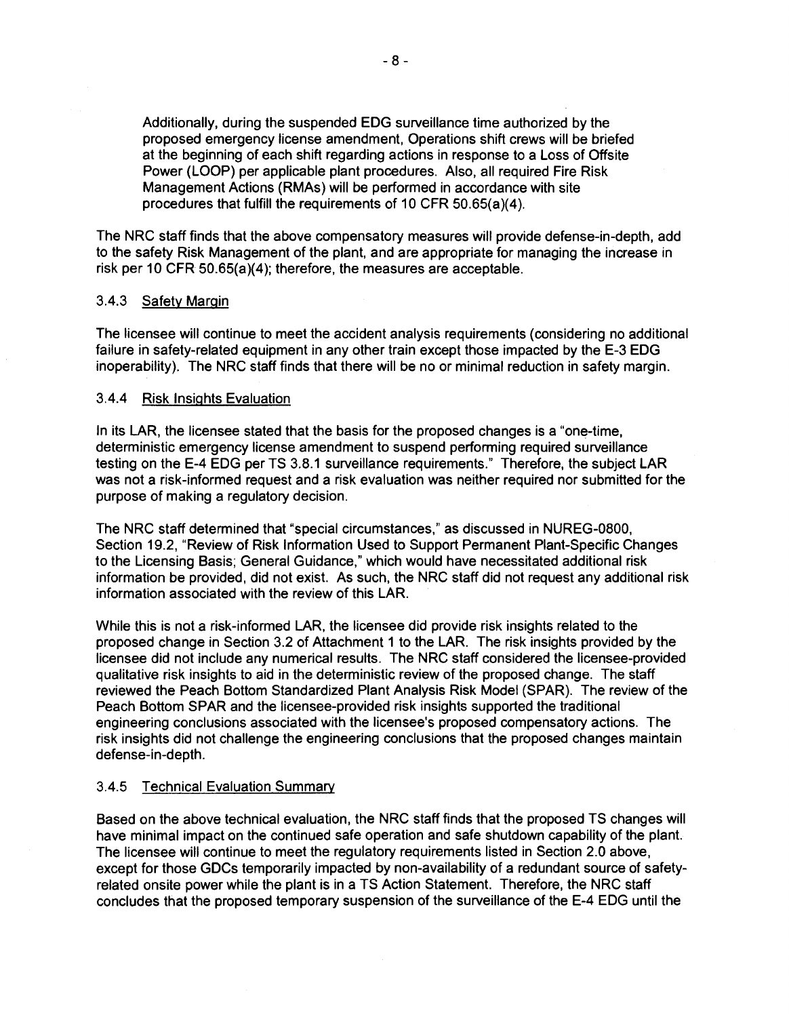Additionally, during the suspended EOG surveillance time authorized by the proposed emergency license amendment, Operations shift crews will be briefed at the beginning of each shift regarding actions in response to a Loss of Offsite Power (LOOP) per applicable plant procedures. Also, all required Fire Risk Management Actions (RMAs) will be performed in accordance with site procedures that fulfill the requirements of 10 CFR 50.65(a)(4).

The NRC staff finds that the above compensatory measures will provide defense-in-depth, add to the safety **Risk** Management of the plant, and are appropriate for managing the increase in risk per 10 CFR 50.65(a)(4); therefore, the measures are acceptable.

### 3.4.3 Safety Margin

The licensee will continue to meet the accident analysis requirements (considering no additional failure in safety-related equipment in any other train except those impacted by the E-3 EOG inoperability). The NRC staff finds that there will be no or minimal reduction in safety margin.

#### 3.4.4 Risk Insights Evaluation

In its LAR, the licensee stated that the basis for the proposed changes is a "one-time, deterministic emergency license amendment to suspend performing required surveillance testing on the E-4 EOG per TS 3.8.1 surveillance requirements." Therefore, the subject LAR was not a risk-informed request and a risk evaluation was neither required nor submitted for the purpose of making a regulatory decision.

The NRC staff determined that "special circumstances," as discussed in NUREG-0800, Section 19.2, "Review of Risk Information Used to Support Permanent Plant-Specific Changes to the Licensing Basis; General Guidance," which would have necessitated additional risk information be provided, did not exist. As such, the NRC staff did not request any additional risk information associated with the review of this LAR.

While this is not a risk-informed LAR, the licensee did provide risk insights related to the proposed change in Section 3.2 of Attachment 1 to the LAR. The risk insights provided by the licensee did not include any numerical results. The NRC staff considered the licensee-provided qualitative risk insights to aid in the deterministic review of the proposed change. The staff reviewed the Peach Bottom Standardized Plant Analysis Risk Model (SPAR). The review of the Peach Bottom SPAR and the licensee-provided risk insights supported the traditional engineering conclusions associated with the licensee's proposed compensatory actions. The risk insights did not challenge the engineering conclusions that the proposed changes maintain defense-in-depth.

#### 3.4.5 Technical Evaluation Summary

Based on the above technical evaluation, the NRC staff finds that the proposed TS changes will have minimal impact on the continued safe operation and safe shutdown capability of the plant. The licensee will continue to meet the regulatory requirements listed in Section 2.0 above, except for those GOCs temporarily impacted by non-availability of a redundant source of safetyrelated onsite power while the plant is in a TS Action Statement. Therefore, the NRC staff concludes that the proposed temporary suspension of the surveillance of the E-4 EOG until the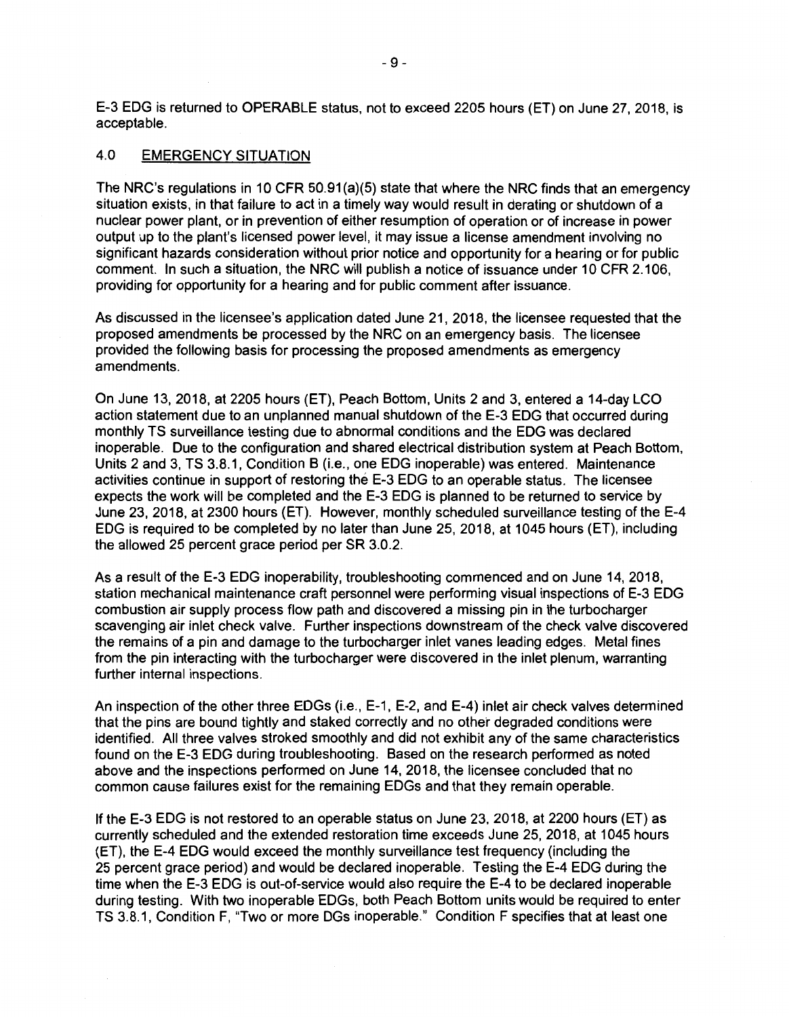E-3 EDG is returned to OPERABLE status, not to exceed 2205 hours (ET) on June 27, 2018, is acceptable.

#### 4.0 EMERGENCY SITUATION

The NRC's regulations in 10 CFR 50.91(a)(5) state that where the NRC finds that an emergency situation exists, in that failure to act in a timely way would result in derating or shutdown of a nuclear power plant, or in prevention of either resumption of operation or of increase in power output up to the plant's licensed power level, it may issue a license amendment involving no significant hazards consideration without prior notice and opportunity for a hearing or for public comment. In such a situation, the NRC will publish a notice of issuance under 10 CFR 2.106, providing for opportunity for a hearing and for public comment after issuance.

As discussed in the licensee's application dated June 21, 2018, the licensee requested that the proposed amendments be processed by the NRC on an emergency basis. The licensee provided the following basis for processing the proposed amendments as emergency amendments.

On June 13, 2018, at 2205 hours (ET), Peach Bottom, Units 2 and 3, entered a 14-day LCO action statement due to an unplanned manual shutdown of the E-3 EDG that occurred during monthly TS surveillance testing due to abnormal conditions and the EDG was declared inoperable. Due to the configuration and shared electrical distribution system at Peach Bottom, Units 2 and 3, TS 3.8.1, Condition B (i.e., one EDG inoperable) was entered. Maintenance activities continue in support of restoring the E-3 EDG to an operable status. The licensee expects the work will be completed and the E-3 EDG is planned to be returned to service by June 23, 2018, at 2300 hours (ET). However, monthly scheduled surveillance testing of the E-4 EDG is required to be completed by no later than June 25, 2018, at 1045 hours (ET), including the allowed 25 percent grace period per SR 3.0.2.

As a result of the E-3 EDG inoperability, troubleshooting commenced and on June 14, 2018, station mechanical maintenance craft personnel were performing visual inspections of E-3 EOG combustion air supply process flow path and discovered a missing pin in the turbocharger scavenging air inlet check valve. Further inspections downstream of the check valve discovered the remains of a pin and damage to the turbocharger inlet vanes leading edges. Metal fines from the pin interacting with the turbocharger were discovered in the inlet plenum, warranting further internal inspections.

An inspection of the other three EOGs (i.e., E-1, E-2, and E-4) inlet air check valves determined that the pins are bound tightly and staked correctly and no other degraded conditions were identified. All three valves stroked smoothly and did not exhibit any of the same characteristics found on the E-3 EOG during troubleshooting. Based on the research performed as noted above and the inspections performed on June 14, 2018, the licensee concluded that no common cause failures exist for the remaining EOGs and that they remain operable.

If the E-3 EDG is not restored to an operable status on June 23, 2018, at 2200 hours (ET) as currently scheduled and the extended restoration time exceeds June 25, 2018, at 1045 hours (ET), the E-4 EDG would exceed the monthly surveillance test frequency (including the 25 percent grace period) and would be declared inoperable. Testing the E-4 EOG during the time when the E-3 EOG is out-of-service would also require the E-4 to be declared inoperable during testing. With two inoperable EDGs, both Peach Bottom units would be required to enter TS 3.8.1, Condition F, "Two or more DGs inoperable." Condition F specifies that at least one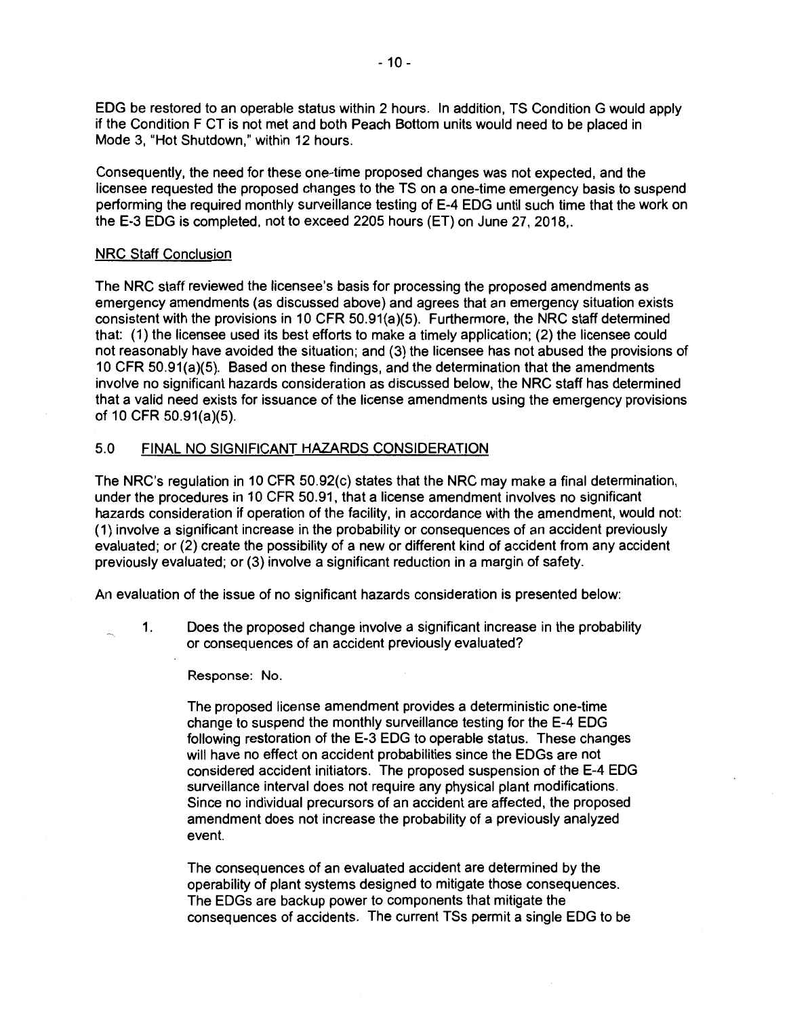EDG be restored to an operable status within 2 hours. In addition, TS Condition G would apply if the Condition F CT is not met and both Peach Bottom units would need to be placed in Mode 3, "Hot Shutdown," within 12 hours.

Consequently, the need for these one-time proposed changes was not expected, and the licensee requested the proposed changes to the TS on a one-time emergency basis to suspend performing the required monthly surveillance testing of E-4 EDG until such time that the work on the E-3 EDG is completed, not to exceed 2205 hours (ET) on June 27, 2018,.

#### NRC Staff Conclusion

The NRC staff reviewed the licensee's basis for processing the proposed amendments as emergency amendments (as discussed above) and agrees that an emergency situation exists consistent with the provisions in 10 CFR 50.91(a)(5). Furthermore, the NRC staff determined that: (1) the licensee used its best efforts to make a timely application; (2) the licensee could not reasonably have avoided the situation; and (3) the licensee has not abused the provisions of 10 CFR 50.91(a)(5). Based on these findings, and the determination that the amendments involve no significant hazards consideration as discussed below, the NRC staff has determined that a valid need exists for issuance of the license amendments using the emergency provisions of 10 CFR 50.91(a)(5).

#### 5.0 FINAL NO SIGNIFICANT HAZARDS CONSIDERATION

The NRC's regulation in 10 CFR 50.92(c) states that the NRC may make a final determination, under the procedures in 10 CFR 50.91, that a license amendment involves no significant hazards consideration if operation of the facility, in accordance with the amendment, would not: (1) involve a significant increase in the probability or consequences of an accident previously evaluated; or (2) create the possibility of a new or different kind of accident from any accident previously evaluated; or (3) involve a significant reduction in a margin of safety.

An evaluation of the issue of no significant hazards consideration is presented below:

1. Does the proposed change involve a significant increase in the probability or consequences of an accident previously evaluated?

#### Response: No.

The proposed license amendment provides a deterministic one-time change to suspend the monthly surveillance testing for the E-4 EDG following restoration of the E-3 EDG to operable status. These changes will have no effect on accident probabilities since the EDGs are not considered accident initiators. The proposed suspension of the E-4 EDG surveillance interval does not require any physical plant modifications. Since no individual precursors of an accident are affected, the proposed amendment does not increase the probability of a previously analyzed event.

The consequences of an evaluated accident are determined by the operability of plant systems designed to mitigate those consequences. The EDGs are backup power to components that mitigate the consequences of accidents. The current TSs permit a single EDG to be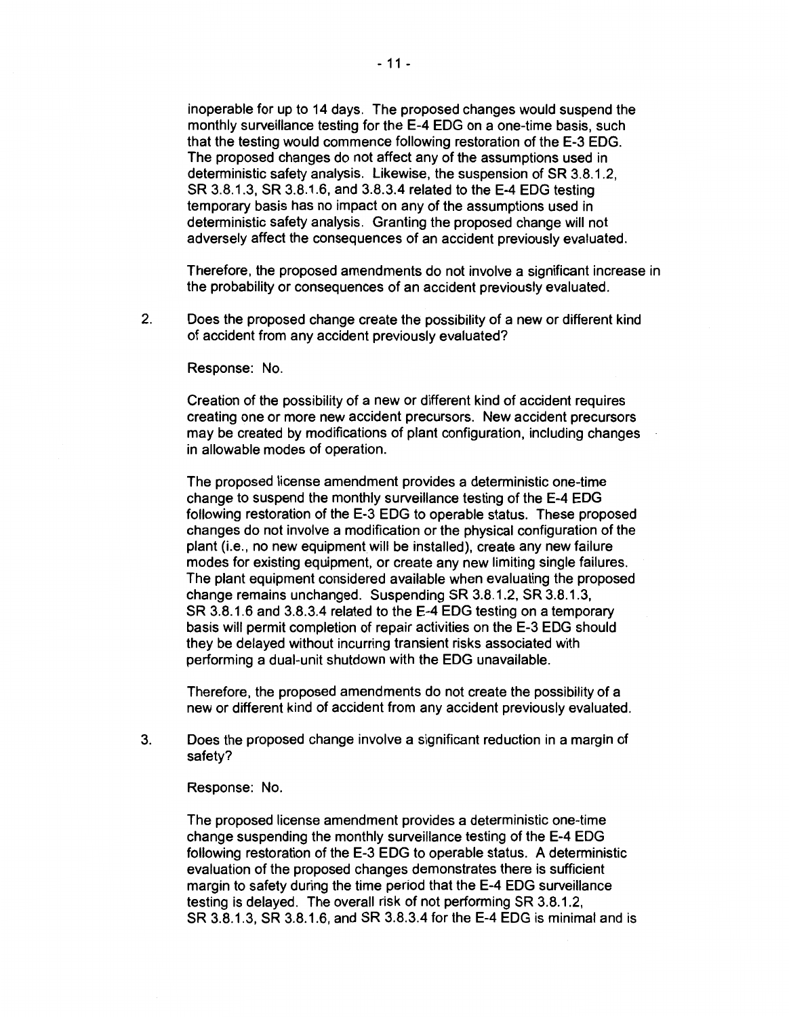inoperable for up to 14 days. The proposed changes would suspend the monthly surveillance testing for the E-4 EOG on a one-time basis, such that the testing would commence following restoration of the E-3 EOG. The proposed changes do not affect any of the assumptions used in deterministic safety analysis. Likewise, the suspension of SR 3.8.1.2, SR 3.8.1.3, SR 3.8.1.6, and 3.8.3.4 related to the E-4 EOG testing temporary basis has no impact on any of the assumptions used in deterministic safety analysis. Granting the proposed change will not adversely affect the consequences of an accident previously evaluated.

Therefore, the proposed amendments do not involve a significant increase in the probability or consequences of an accident previously evaluated.

2. Does the proposed change create the possibility of a new or different kind of accident from any accident previously evaluated?

Response: No.

Creation of the possibility of a new or different kind of accident requires creating one or more new accident precursors. New accident precursors may be created by modifications of plant configuration, including changes in allowable modes of operation.

The proposed license amendment provides a deterministic one-time change to suspend the monthly surveillance testing of the E-4 EOG following restoration of the E-3 EOG to operable status. These proposed changes do not involve a modification or the physical configuration of the plant (i.e., no new equipment will be installed), create any new failure modes for existing equipment, or create any new limiting single failures. The plant equipment considered available when evaluating the proposed change remains unchanged. Suspending SR 3.8.1.2, SR 3.8.1.3, SR 3.8.1.6 and 3.8.3.4 related to the E-4 EOG testing on a temporary basis will permit completion of repair activities on the E-3 EOG should they be delayed without incurring transient risks associated with performing a dual-unit shutdown with the EOG unavailable.

Therefore, the proposed amendments do not create the possibility of a new or different kind of accident from any accident previously evaluated.

3. Does the proposed change involve a significant reduction in a margin of safety?

Response: No.

The proposed license amendment provides a deterministic one-time change suspending the monthly surveillance testing of the E-4 EOG following restoration of the E-3 EOG to operable status. A deterministic evaluation of the proposed changes demonstrates there is sufficient margin to safety during the time period that the E-4 EOG surveillance testing is delayed. The overall risk of not performing SR 3.8.1.2, SR 3.8.1.3, SR 3.8.1.6, and SR 3.8.3.4 for the E-4 EOG is minimal and is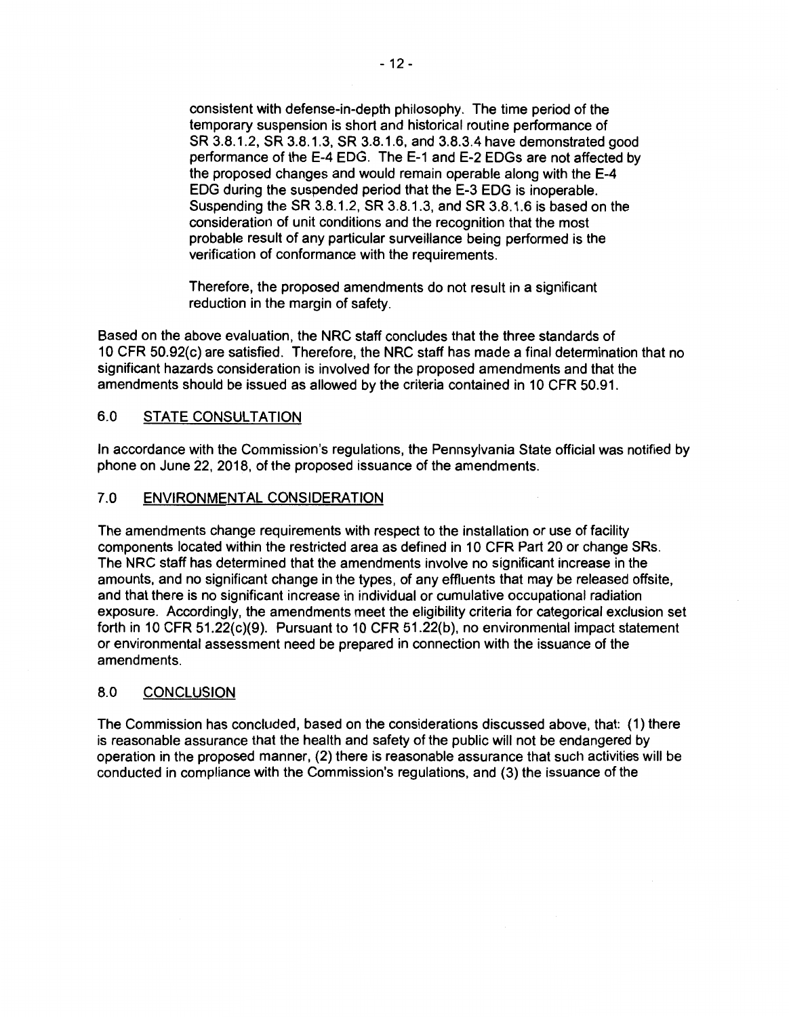consistent with defense-in-depth philosophy. The time period of the temporary suspension is short and historical routine performance of SR 3.8.1.2, SR 3.8.1.3, SR 3.8.1.6, and 3.8.3.4 have demonstrated good performance of the E-4 EOG. The E-1 and E-2 EDGs are not affected by the proposed changes and would remain operable along with the E-4 EOG during the suspended period that the E-3 EOG is inoperable. Suspending the SR 3.8.1.2, SR 3.8.1.3, and SR 3.8.1.6 is based on the consideration of unit conditions and the recognition that the most probable result of any particular surveillance being performed is the verification of conformance with the requirements.

Therefore, the proposed amendments do not result in a significant reduction in the margin of safety.

Based on the above evaluation, the NRC staff concludes that the three standards of 10 CFR 50.92(c) are satisfied. Therefore, the NRC staff has made a final determination that no significant hazards consideration is involved for the proposed amendments and that the amendments should be issued as allowed by the criteria contained in 10 CFR 50.91.

## 6.0 STATE CONSULTATION

In accordance with the Commission's regulations, the Pennsylvania State official was notified by phone on June 22, 2018, of the proposed issuance of the amendments.

### 7.0 ENVIRONMENTAL CONSIDERATION

The amendments change requirements with respect to the installation or use of facility components located within the restricted area as defined in 10 CFR Part 20 or change SRs. The NRC staff has determined that the amendments involve no significant increase in the amounts, and no significant change in the types, of any effluents that may be released offsite, and that there is no significant increase in individual or cumulative occupational radiation exposure. Accordingly, the amendments meet the eligibility criteria for categorical exclusion set forth in 10 CFR 51.22(c){9). Pursuant to 10 CFR 51.22{b), no environmental impact statement or environmental assessment need be prepared in connection with the issuance of the amendments.

## 8.0 CONCLUSION

The Commission has concluded, based on the considerations discussed above, that: (1) there is reasonable assurance that the health and safety of the public will not be endangered by operation in the proposed manner, (2) there is reasonable assurance that such activities will be conducted in compliance with the Commission's regulations, and (3) the issuance of the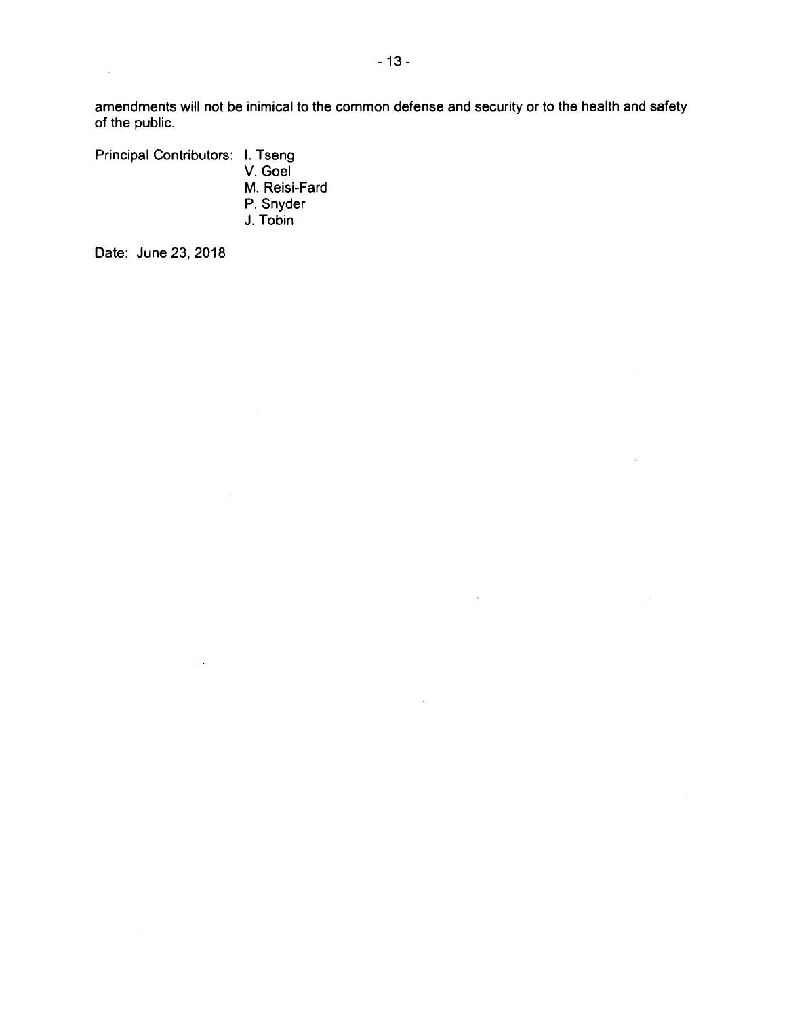amendments will not be inimical to the common defense and security or to the health and safety of the public.

 $\bar{z}$ 

 $\bar{a}$ 

Principal Contributors: I. Tseng

V. Goel M. Reisi-Fard P. Snyder J. Tobin

 $\bar{z}$ 

 $\mathbb{R}^2$ 

Date: June 23, 2018

 $\sim 10^6$